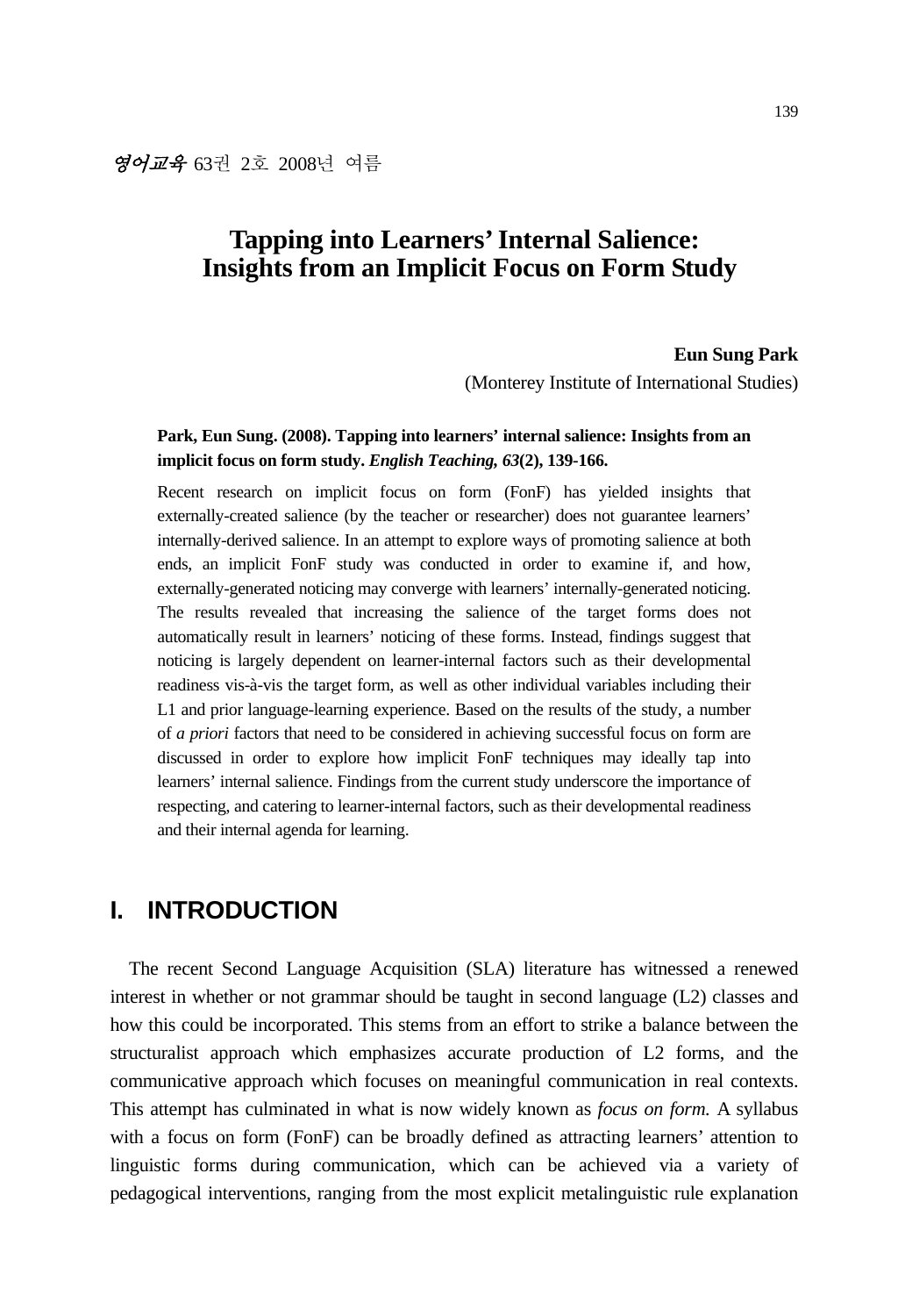# **Tapping into Learners' Internal Salience: Insights from an Implicit Focus on Form Study**

### **Eun Sung Park**

(Monterey Institute of International Studies)

## **Park, Eun Sung. (2008). Tapping into learners' internal salience: Insights from an implicit focus on form study.** *English Teaching, 63***(2), 139-166.**

Recent research on implicit focus on form (FonF) has yielded insights that externally-created salience (by the teacher or researcher) does not guarantee learners' internally-derived salience. In an attempt to explore ways of promoting salience at both ends, an implicit FonF study was conducted in order to examine if, and how, externally-generated noticing may converge with learners' internally-generated noticing. The results revealed that increasing the salience of the target forms does not automatically result in learners' noticing of these forms. Instead, findings suggest that noticing is largely dependent on learner-internal factors such as their developmental readiness vis-à-vis the target form, as well as other individual variables including their L1 and prior language-learning experience. Based on the results of the study, a number of *a priori* factors that need to be considered in achieving successful focus on form are discussed in order to explore how implicit FonF techniques may ideally tap into learners' internal salience. Findings from the current study underscore the importance of respecting, and catering to learner-internal factors, such as their developmental readiness and their internal agenda for learning.

# **I. INTRODUCTION**

The recent Second Language Acquisition (SLA) literature has witnessed a renewed interest in whether or not grammar should be taught in second language (L2) classes and how this could be incorporated. This stems from an effort to strike a balance between the structuralist approach which emphasizes accurate production of L2 forms, and the communicative approach which focuses on meaningful communication in real contexts. This attempt has culminated in what is now widely known as *focus on form.* A syllabus with a focus on form (FonF) can be broadly defined as attracting learners' attention to linguistic forms during communication, which can be achieved via a variety of pedagogical interventions, ranging from the most explicit metalinguistic rule explanation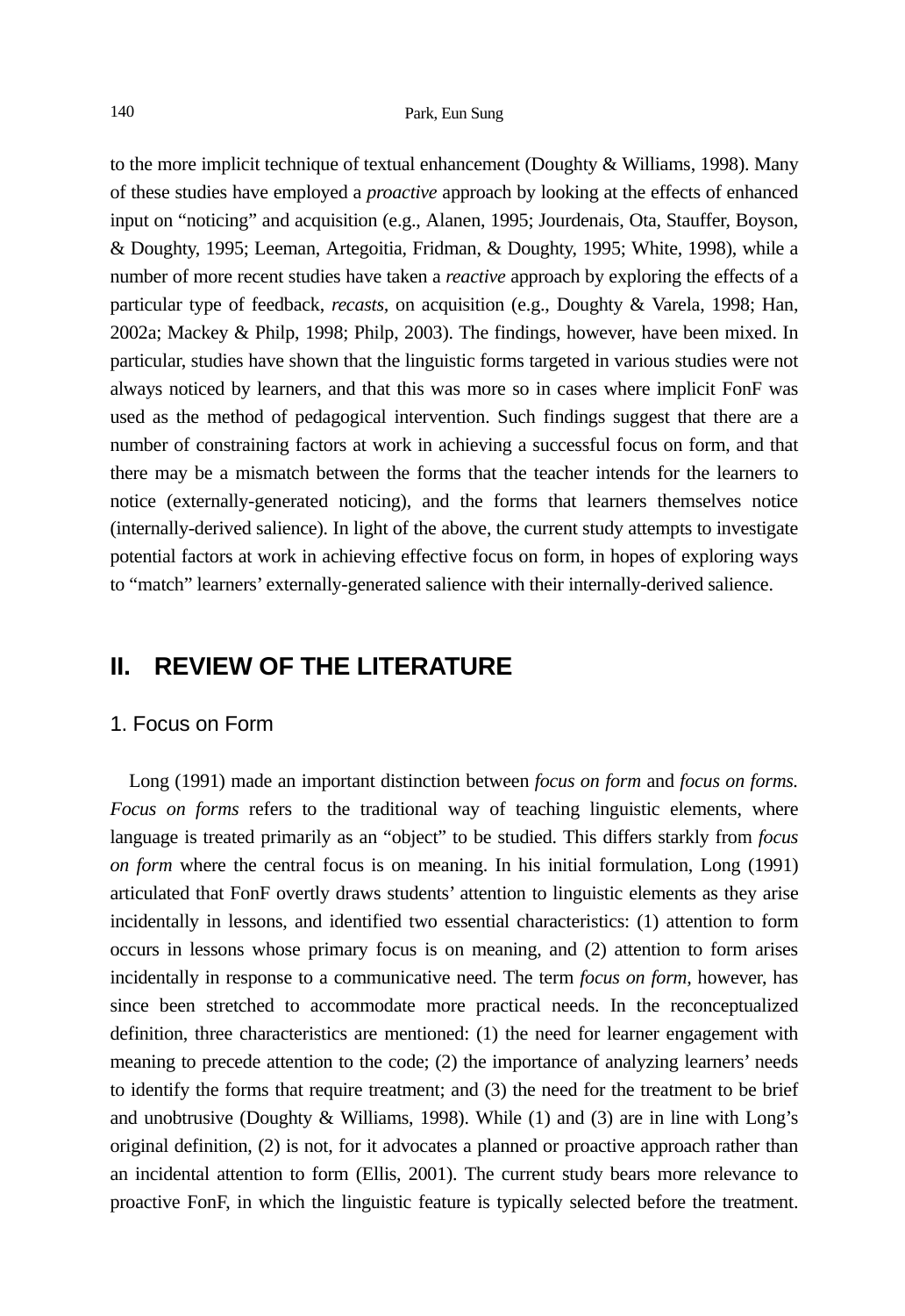to the more implicit technique of textual enhancement (Doughty & Williams, 1998). Many of these studies have employed a *proactive* approach by looking at the effects of enhanced input on "noticing" and acquisition (e.g., Alanen, 1995; Jourdenais, Ota, Stauffer, Boyson, & Doughty, 1995; Leeman, Artegoitia, Fridman, & Doughty, 1995; White, 1998), while a number of more recent studies have taken a *reactive* approach by exploring the effects of a particular type of feedback, *recasts,* on acquisition (e.g., Doughty & Varela, 1998; Han, 2002a; Mackey & Philp, 1998; Philp, 2003). The findings, however, have been mixed. In particular, studies have shown that the linguistic forms targeted in various studies were not always noticed by learners, and that this was more so in cases where implicit FonF was used as the method of pedagogical intervention. Such findings suggest that there are a number of constraining factors at work in achieving a successful focus on form, and that there may be a mismatch between the forms that the teacher intends for the learners to notice (externally-generated noticing), and the forms that learners themselves notice (internally-derived salience). In light of the above, the current study attempts to investigate potential factors at work in achieving effective focus on form, in hopes of exploring ways to "match" learners' externally-generated salience with their internally-derived salience.

# **II. REVIEW OF THE LITERATURE**

### 1. Focus on Form

Long (1991) made an important distinction between *focus on form* and *focus on forms. Focus on forms* refers to the traditional way of teaching linguistic elements, where language is treated primarily as an "object" to be studied. This differs starkly from *focus on form* where the central focus is on meaning. In his initial formulation, Long (1991) articulated that FonF overtly draws students' attention to linguistic elements as they arise incidentally in lessons, and identified two essential characteristics: (1) attention to form occurs in lessons whose primary focus is on meaning, and (2) attention to form arises incidentally in response to a communicative need. The term *focus on form,* however, has since been stretched to accommodate more practical needs. In the reconceptualized definition, three characteristics are mentioned: (1) the need for learner engagement with meaning to precede attention to the code; (2) the importance of analyzing learners' needs to identify the forms that require treatment; and (3) the need for the treatment to be brief and unobtrusive (Doughty & Williams, 1998). While (1) and (3) are in line with Long's original definition, (2) is not, for it advocates a planned or proactive approach rather than an incidental attention to form (Ellis, 2001). The current study bears more relevance to proactive FonF, in which the linguistic feature is typically selected before the treatment.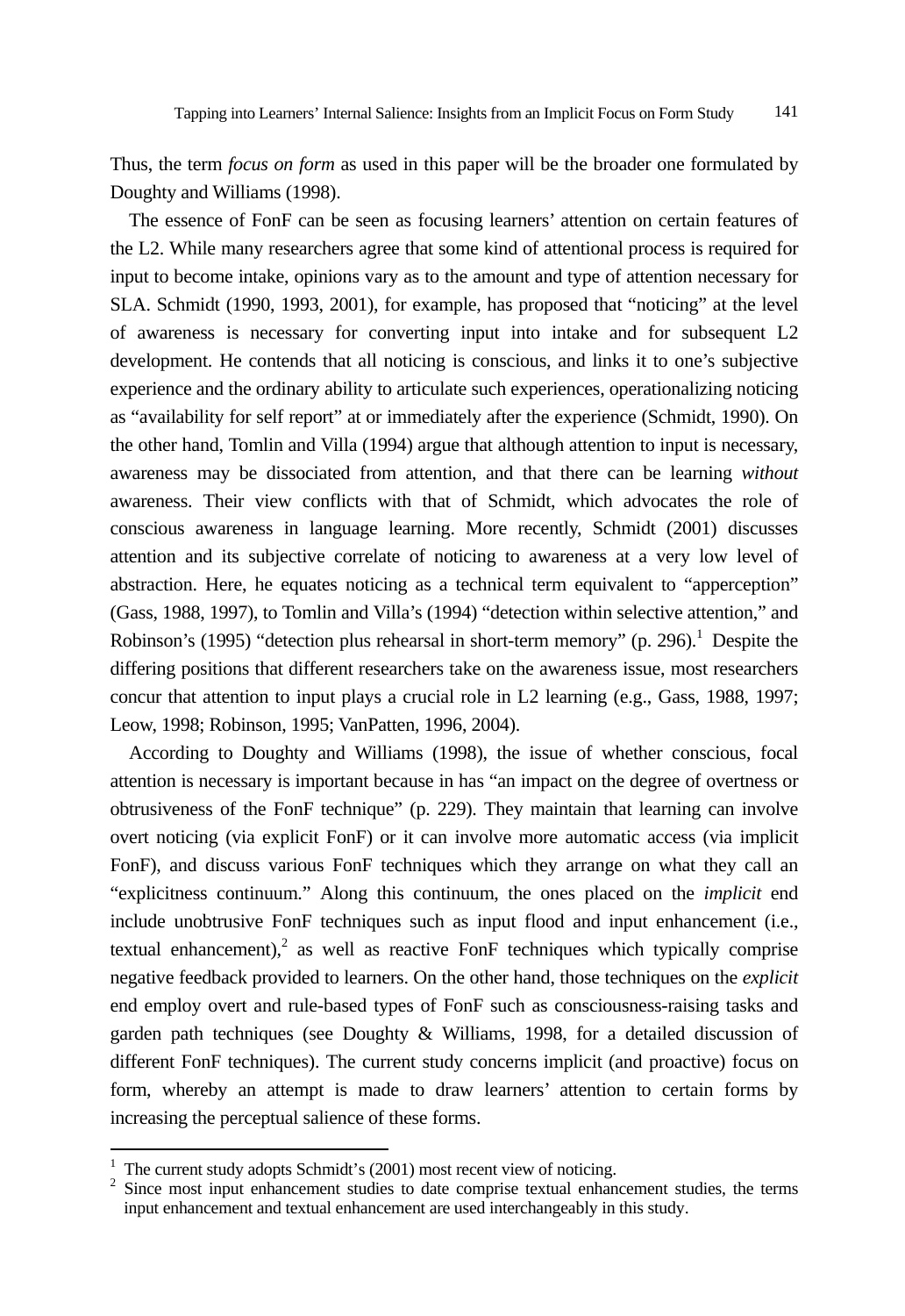Thus, the term *focus on form* as used in this paper will be the broader one formulated by Doughty and Williams (1998).

The essence of FonF can be seen as focusing learners' attention on certain features of the L2. While many researchers agree that some kind of attentional process is required for input to become intake, opinions vary as to the amount and type of attention necessary for SLA. Schmidt (1990, 1993, 2001), for example, has proposed that "noticing" at the level of awareness is necessary for converting input into intake and for subsequent L2 development. He contends that all noticing is conscious, and links it to one's subjective experience and the ordinary ability to articulate such experiences, operationalizing noticing as "availability for self report" at or immediately after the experience (Schmidt, 1990). On the other hand, Tomlin and Villa (1994) argue that although attention to input is necessary, awareness may be dissociated from attention, and that there can be learning *without* awareness. Their view conflicts with that of Schmidt, which advocates the role of conscious awareness in language learning. More recently, Schmidt (2001) discusses attention and its subjective correlate of noticing to awareness at a very low level of abstraction. Here, he equates noticing as a technical term equivalent to "apperception" (Gass, 1988, 1997), to Tomlin and Villa's (1994) "detection within selective attention," and Robinson's (1995) "detection plus rehearsal in short-term memory" (p. 296).<sup>1</sup> Despite the differing positions that different researchers take on the awareness issue, most researchers concur that attention to input plays a crucial role in L2 learning (e.g., Gass, 1988, 1997; Leow, 1998; Robinson, 1995; VanPatten, 1996, 2004).

According to Doughty and Williams (1998), the issue of whether conscious, focal attention is necessary is important because in has "an impact on the degree of overtness or obtrusiveness of the FonF technique" (p. 229). They maintain that learning can involve overt noticing (via explicit FonF) or it can involve more automatic access (via implicit FonF), and discuss various FonF techniques which they arrange on what they call an "explicitness continuum." Along this continuum, the ones placed on the *implicit* end include unobtrusive FonF techniques such as input flood and input enhancement (i.e., textual enhancement), $2$  as well as reactive FonF techniques which typically comprise negative feedback provided to learners. On the other hand, those techniques on the *explicit* end employ overt and rule-based types of FonF such as consciousness-raising tasks and garden path techniques (see Doughty & Williams, 1998, for a detailed discussion of different FonF techniques). The current study concerns implicit (and proactive) focus on form, whereby an attempt is made to draw learners' attention to certain forms by increasing the perceptual salience of these forms.

l

<sup>1</sup> The current study adopts Schmidt's (2001) most recent view of noticing.

 $2$  Since most input enhancement studies to date comprise textual enhancement studies, the terms input enhancement and textual enhancement are used interchangeably in this study.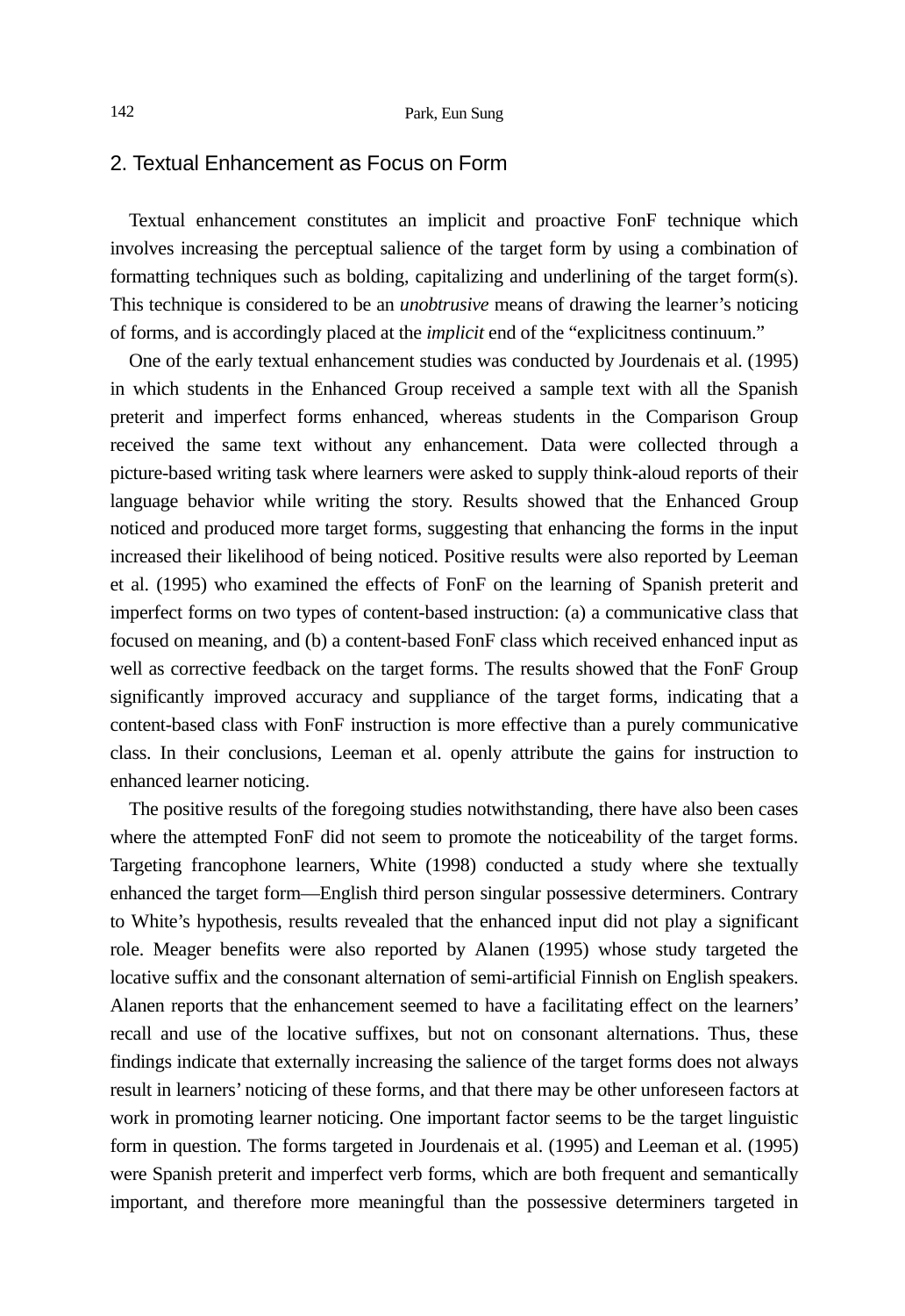## 2. Textual Enhancement as Focus on Form

Textual enhancement constitutes an implicit and proactive FonF technique which involves increasing the perceptual salience of the target form by using a combination of formatting techniques such as bolding, capitalizing and underlining of the target form(s). This technique is considered to be an *unobtrusive* means of drawing the learner's noticing of forms, and is accordingly placed at the *implicit* end of the "explicitness continuum."

One of the early textual enhancement studies was conducted by Jourdenais et al. (1995) in which students in the Enhanced Group received a sample text with all the Spanish preterit and imperfect forms enhanced, whereas students in the Comparison Group received the same text without any enhancement. Data were collected through a picture-based writing task where learners were asked to supply think-aloud reports of their language behavior while writing the story. Results showed that the Enhanced Group noticed and produced more target forms, suggesting that enhancing the forms in the input increased their likelihood of being noticed. Positive results were also reported by Leeman et al. (1995) who examined the effects of FonF on the learning of Spanish preterit and imperfect forms on two types of content-based instruction: (a) a communicative class that focused on meaning, and (b) a content-based FonF class which received enhanced input as well as corrective feedback on the target forms. The results showed that the FonF Group significantly improved accuracy and suppliance of the target forms, indicating that a content-based class with FonF instruction is more effective than a purely communicative class. In their conclusions, Leeman et al. openly attribute the gains for instruction to enhanced learner noticing.

The positive results of the foregoing studies notwithstanding, there have also been cases where the attempted FonF did not seem to promote the noticeability of the target forms. Targeting francophone learners, White (1998) conducted a study where she textually enhanced the target form—English third person singular possessive determiners. Contrary to White's hypothesis, results revealed that the enhanced input did not play a significant role. Meager benefits were also reported by Alanen (1995) whose study targeted the locative suffix and the consonant alternation of semi-artificial Finnish on English speakers. Alanen reports that the enhancement seemed to have a facilitating effect on the learners' recall and use of the locative suffixes, but not on consonant alternations. Thus, these findings indicate that externally increasing the salience of the target forms does not always result in learners' noticing of these forms, and that there may be other unforeseen factors at work in promoting learner noticing. One important factor seems to be the target linguistic form in question. The forms targeted in Jourdenais et al. (1995) and Leeman et al. (1995) were Spanish preterit and imperfect verb forms, which are both frequent and semantically important, and therefore more meaningful than the possessive determiners targeted in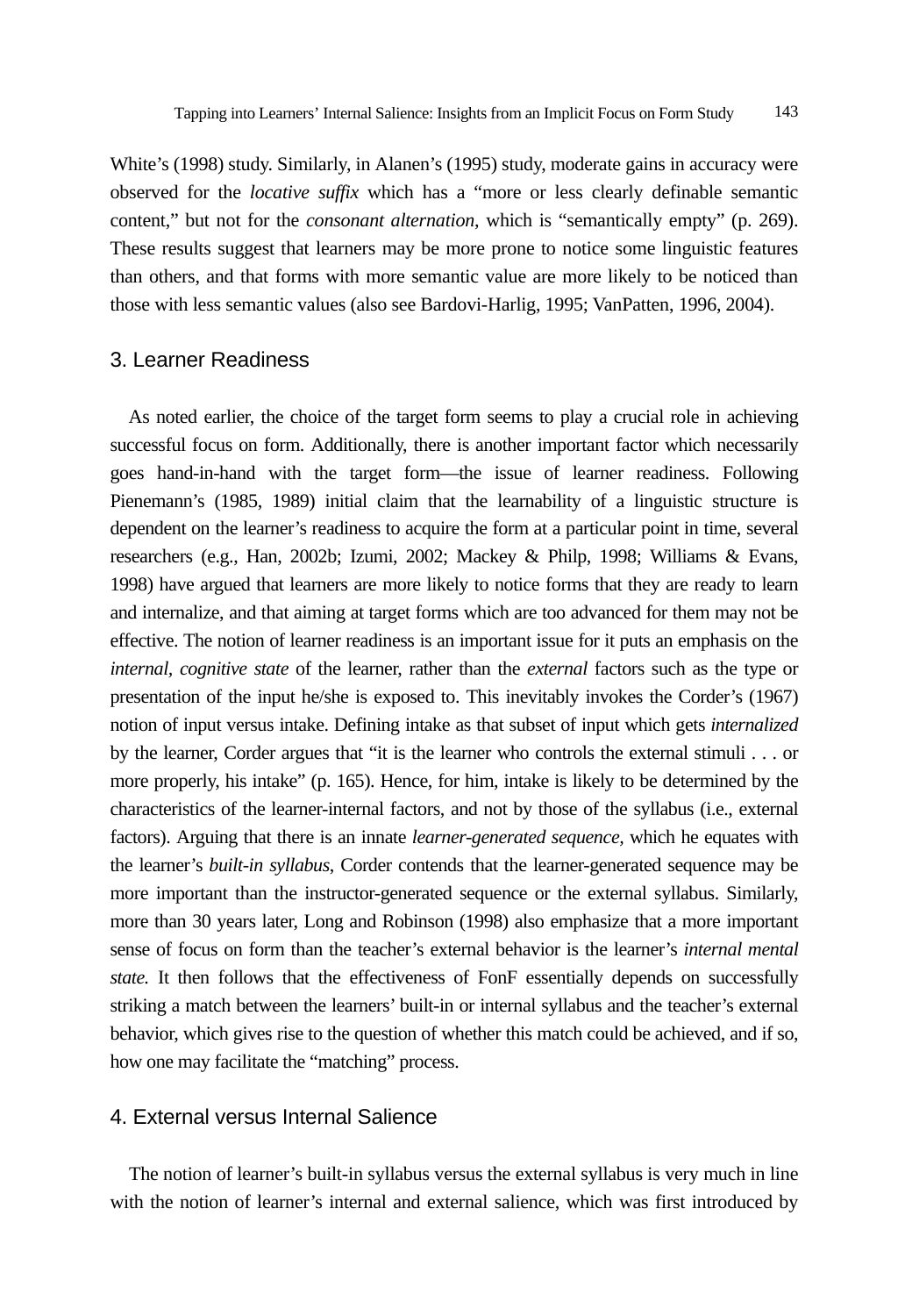White's (1998) study. Similarly, in Alanen's (1995) study, moderate gains in accuracy were observed for the *locative suffix* which has a "more or less clearly definable semantic content," but not for the *consonant alternation,* which is "semantically empty" (p. 269). These results suggest that learners may be more prone to notice some linguistic features than others, and that forms with more semantic value are more likely to be noticed than those with less semantic values (also see Bardovi-Harlig, 1995; VanPatten, 1996, 2004).

## 3. Learner Readiness

As noted earlier, the choice of the target form seems to play a crucial role in achieving successful focus on form. Additionally, there is another important factor which necessarily goes hand-in-hand with the target form—the issue of learner readiness. Following Pienemann's (1985, 1989) initial claim that the learnability of a linguistic structure is dependent on the learner's readiness to acquire the form at a particular point in time, several researchers (e.g., Han, 2002b; Izumi, 2002; Mackey & Philp, 1998; Williams & Evans, 1998) have argued that learners are more likely to notice forms that they are ready to learn and internalize, and that aiming at target forms which are too advanced for them may not be effective. The notion of learner readiness is an important issue for it puts an emphasis on the *internal, cognitive state* of the learner, rather than the *external* factors such as the type or presentation of the input he/she is exposed to. This inevitably invokes the Corder's (1967) notion of input versus intake. Defining intake as that subset of input which gets *internalized* by the learner, Corder argues that "it is the learner who controls the external stimuli . . . or more properly, his intake" (p. 165). Hence, for him, intake is likely to be determined by the characteristics of the learner-internal factors, and not by those of the syllabus (i.e., external factors). Arguing that there is an innate *learner-generated sequence,* which he equates with the learner's *built-in syllabus*, Corder contends that the learner-generated sequence may be more important than the instructor-generated sequence or the external syllabus. Similarly, more than 30 years later, Long and Robinson (1998) also emphasize that a more important sense of focus on form than the teacher's external behavior is the learner's *internal mental state.* It then follows that the effectiveness of FonF essentially depends on successfully striking a match between the learners' built-in or internal syllabus and the teacher's external behavior, which gives rise to the question of whether this match could be achieved, and if so, how one may facilitate the "matching" process.

## 4. External versus Internal Salience

The notion of learner's built-in syllabus versus the external syllabus is very much in line with the notion of learner's internal and external salience, which was first introduced by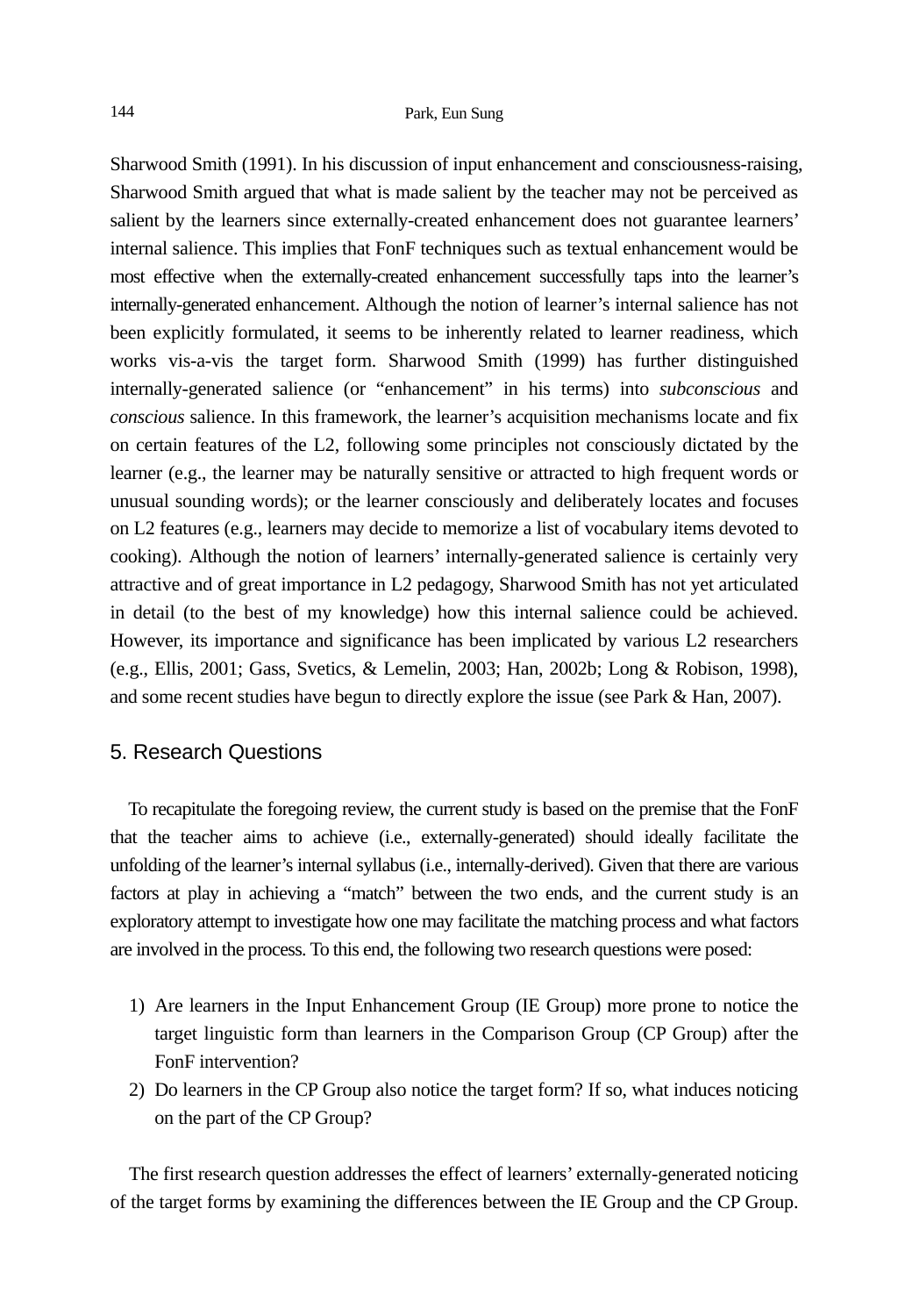Sharwood Smith (1991). In his discussion of input enhancement and consciousness-raising, Sharwood Smith argued that what is made salient by the teacher may not be perceived as salient by the learners since externally-created enhancement does not guarantee learners' internal salience. This implies that FonF techniques such as textual enhancement would be most effective when the externally-created enhancement successfully taps into the learner's internally-generated enhancement. Although the notion of learner's internal salience has not been explicitly formulated, it seems to be inherently related to learner readiness, which works vis-a-vis the target form. Sharwood Smith (1999) has further distinguished internally-generated salience (or "enhancement" in his terms) into *subconscious* and *conscious* salience. In this framework, the learner's acquisition mechanisms locate and fix on certain features of the L2, following some principles not consciously dictated by the learner (e.g., the learner may be naturally sensitive or attracted to high frequent words or unusual sounding words); or the learner consciously and deliberately locates and focuses on L2 features (e.g., learners may decide to memorize a list of vocabulary items devoted to cooking). Although the notion of learners' internally-generated salience is certainly very attractive and of great importance in L2 pedagogy, Sharwood Smith has not yet articulated in detail (to the best of my knowledge) how this internal salience could be achieved. However, its importance and significance has been implicated by various L2 researchers (e.g., Ellis, 2001; Gass, Svetics, & Lemelin, 2003; Han, 2002b; Long & Robison, 1998), and some recent studies have begun to directly explore the issue (see Park & Han, 2007).

## 5. Research Questions

To recapitulate the foregoing review, the current study is based on the premise that the FonF that the teacher aims to achieve (i.e., externally-generated) should ideally facilitate the unfolding of the learner's internal syllabus (i.e., internally-derived). Given that there are various factors at play in achieving a "match" between the two ends, and the current study is an exploratory attempt to investigate how one may facilitate the matching process and what factors are involved in the process. To this end, the following two research questions were posed:

- 1) Are learners in the Input Enhancement Group (IE Group) more prone to notice the target linguistic form than learners in the Comparison Group (CP Group) after the FonF intervention?
- 2) Do learners in the CP Group also notice the target form? If so, what induces noticing on the part of the CP Group?

The first research question addresses the effect of learners' externally-generated noticing of the target forms by examining the differences between the IE Group and the CP Group.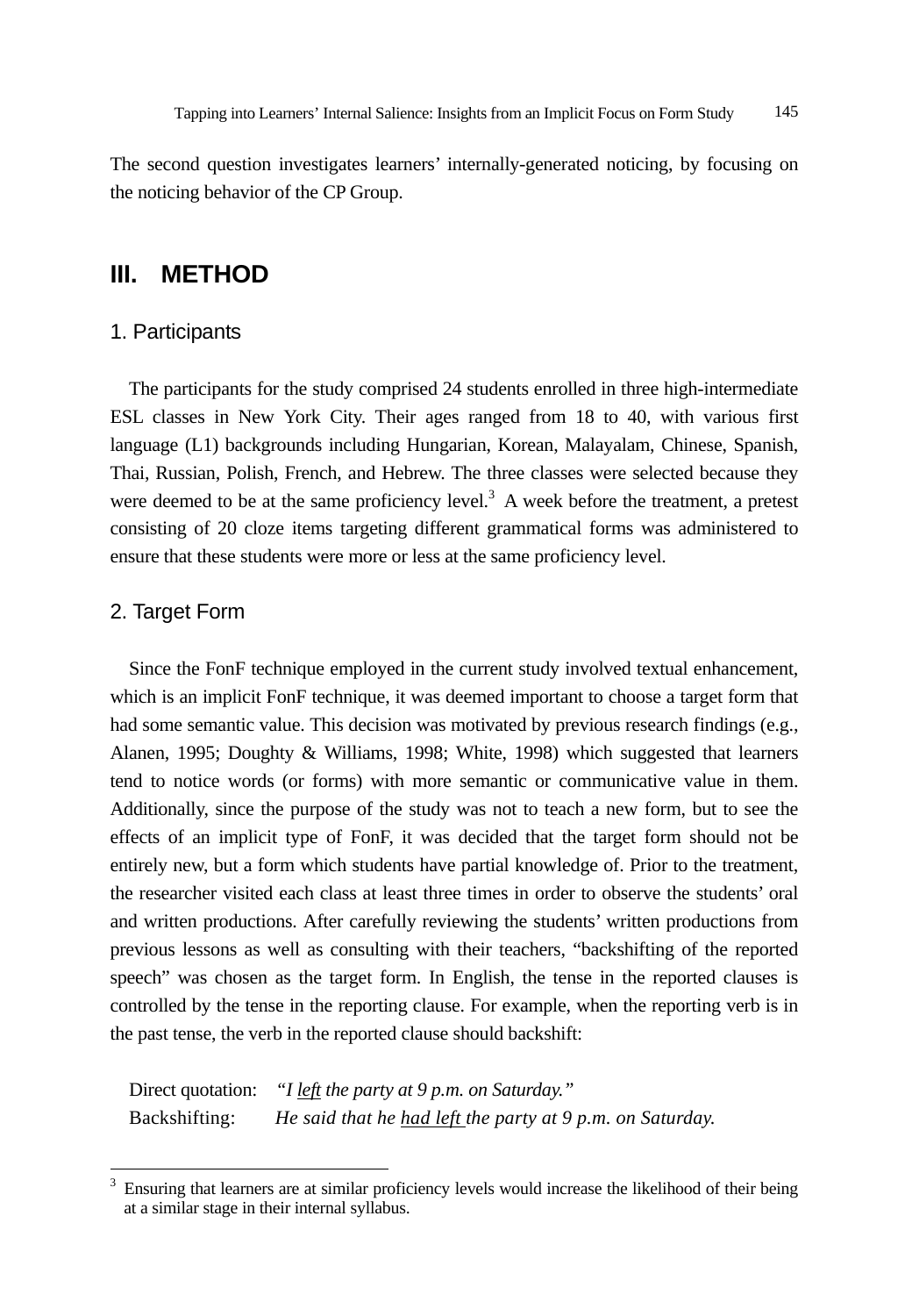The second question investigates learners' internally-generated noticing, by focusing on the noticing behavior of the CP Group.

## **III. METHOD**

## 1. Participants

The participants for the study comprised 24 students enrolled in three high-intermediate ESL classes in New York City. Their ages ranged from 18 to 40, with various first language (L1) backgrounds including Hungarian, Korean, Malayalam, Chinese, Spanish, Thai, Russian, Polish, French, and Hebrew. The three classes were selected because they were deemed to be at the same proficiency level. $3$  A week before the treatment, a pretest consisting of 20 cloze items targeting different grammatical forms was administered to ensure that these students were more or less at the same proficiency level.

## 2. Target Form

l

Since the FonF technique employed in the current study involved textual enhancement, which is an implicit FonF technique, it was deemed important to choose a target form that had some semantic value. This decision was motivated by previous research findings (e.g., Alanen, 1995; Doughty & Williams, 1998; White, 1998) which suggested that learners tend to notice words (or forms) with more semantic or communicative value in them. Additionally, since the purpose of the study was not to teach a new form, but to see the effects of an implicit type of FonF, it was decided that the target form should not be entirely new, but a form which students have partial knowledge of. Prior to the treatment, the researcher visited each class at least three times in order to observe the students' oral and written productions. After carefully reviewing the students' written productions from previous lessons as well as consulting with their teachers, "backshifting of the reported speech" was chosen as the target form. In English, the tense in the reported clauses is controlled by the tense in the reporting clause. For example, when the reporting verb is in the past tense, the verb in the reported clause should backshift:

Direct quotation: *"I left the party at 9 p.m. on Saturday."*  Backshifting: *He said that he had left the party at 9 p.m. on Saturday.*

<sup>3</sup> Ensuring that learners are at similar proficiency levels would increase the likelihood of their being at a similar stage in their internal syllabus.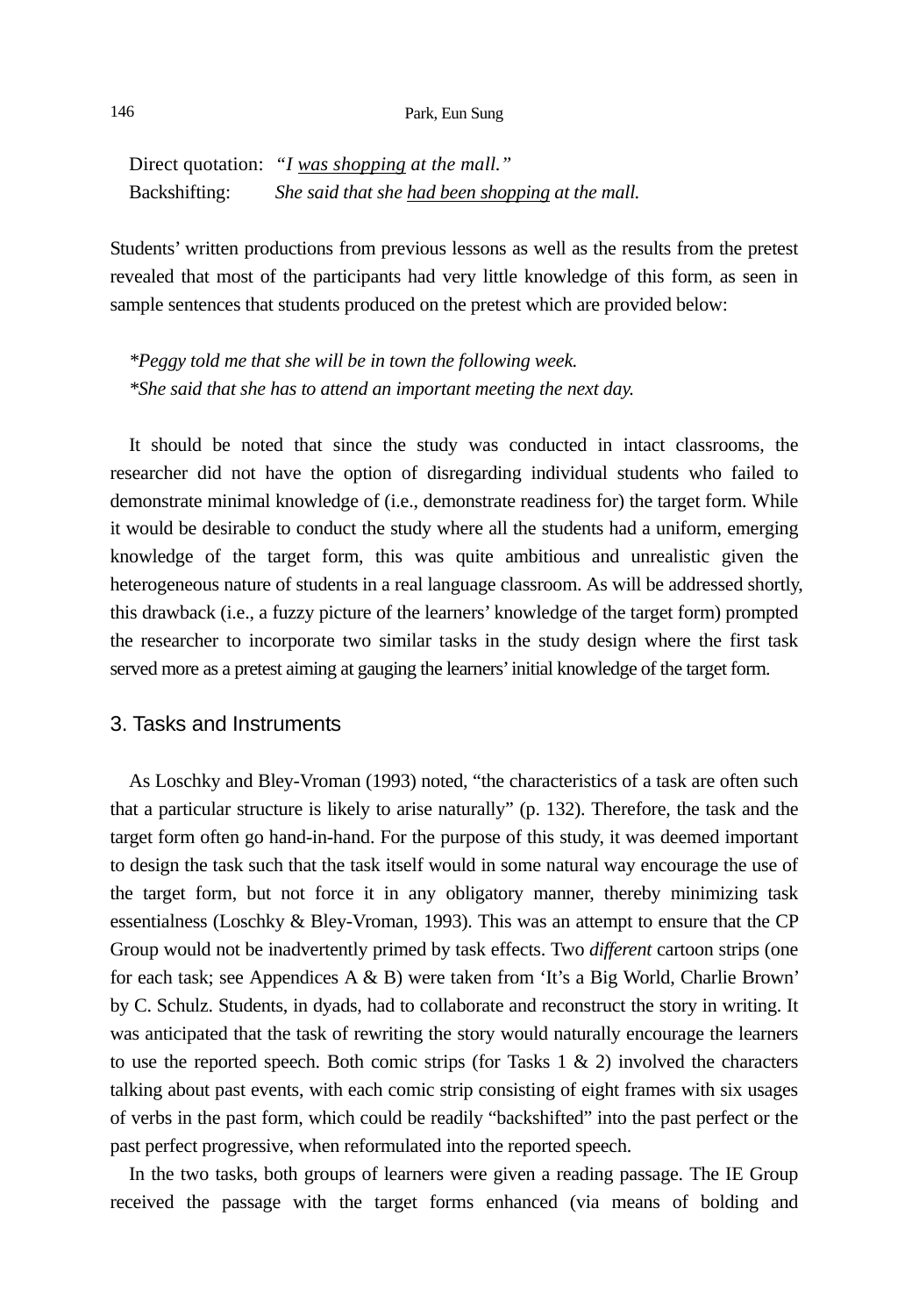### 146 Park, Eun Sung

Direct quotation: *"I was shopping at the mall."*  Backshifting: *She said that she had been shopping at the mall.* 

Students' written productions from previous lessons as well as the results from the pretest revealed that most of the participants had very little knowledge of this form, as seen in sample sentences that students produced on the pretest which are provided below:

*\*Peggy told me that she will be in town the following week. \*She said that she has to attend an important meeting the next day.* 

It should be noted that since the study was conducted in intact classrooms, the researcher did not have the option of disregarding individual students who failed to demonstrate minimal knowledge of (i.e., demonstrate readiness for) the target form. While it would be desirable to conduct the study where all the students had a uniform, emerging knowledge of the target form, this was quite ambitious and unrealistic given the heterogeneous nature of students in a real language classroom. As will be addressed shortly, this drawback (i.e., a fuzzy picture of the learners' knowledge of the target form) prompted the researcher to incorporate two similar tasks in the study design where the first task served more as a pretest aiming at gauging the learners' initial knowledge of the target form.

### 3. Tasks and Instruments

As Loschky and Bley-Vroman (1993) noted, "the characteristics of a task are often such that a particular structure is likely to arise naturally" (p. 132). Therefore, the task and the target form often go hand-in-hand. For the purpose of this study, it was deemed important to design the task such that the task itself would in some natural way encourage the use of the target form, but not force it in any obligatory manner, thereby minimizing task essentialness (Loschky & Bley-Vroman, 1993). This was an attempt to ensure that the CP Group would not be inadvertently primed by task effects. Two *different* cartoon strips (one for each task; see Appendices A & B) were taken from 'It's a Big World, Charlie Brown' by C. Schulz. Students, in dyads, had to collaborate and reconstruct the story in writing. It was anticipated that the task of rewriting the story would naturally encourage the learners to use the reported speech. Both comic strips (for Tasks  $1 \& 2$ ) involved the characters talking about past events, with each comic strip consisting of eight frames with six usages of verbs in the past form, which could be readily "backshifted" into the past perfect or the past perfect progressive, when reformulated into the reported speech.

In the two tasks, both groups of learners were given a reading passage. The IE Group received the passage with the target forms enhanced (via means of bolding and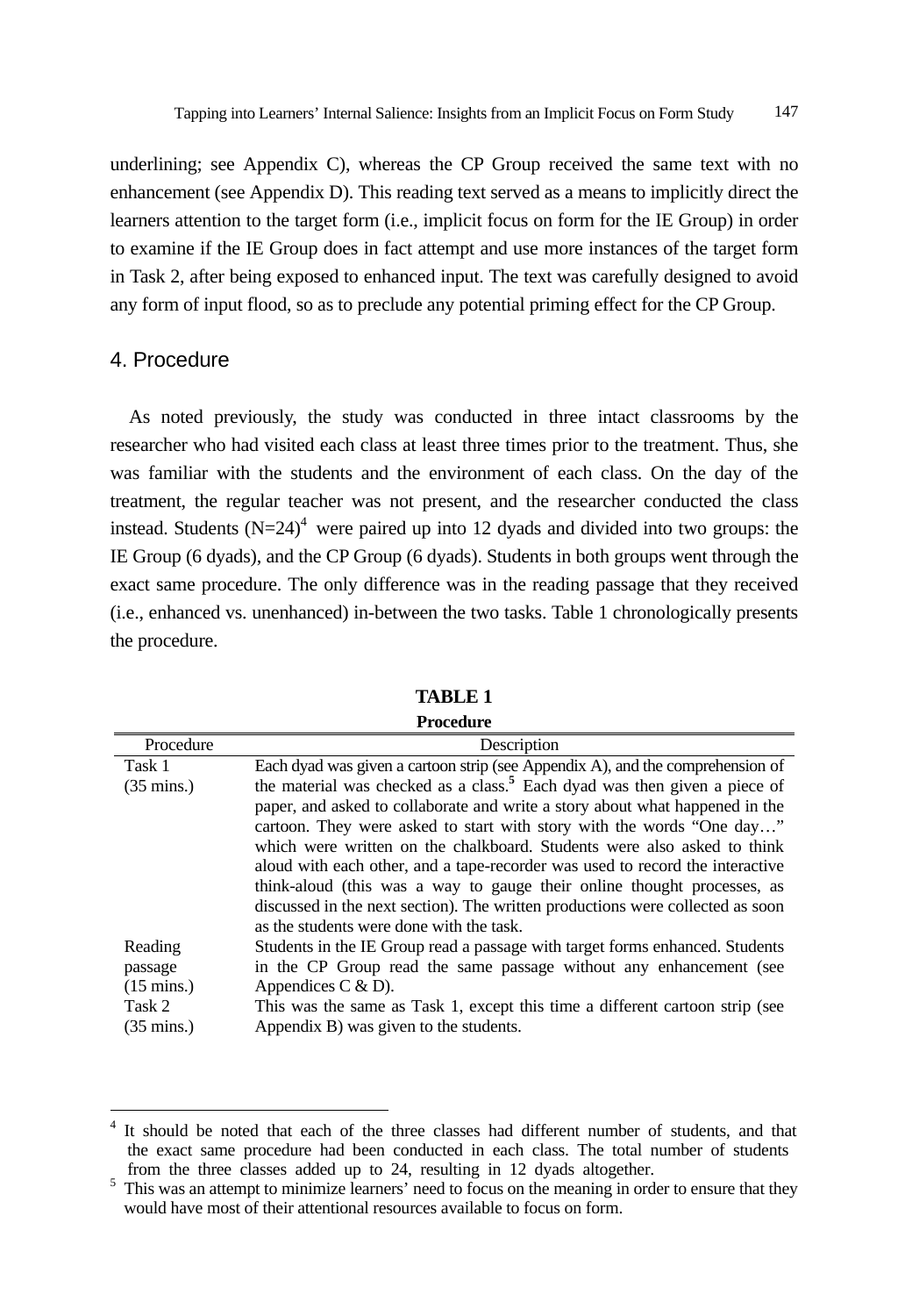underlining; see Appendix C), whereas the CP Group received the same text with no enhancement (see Appendix D). This reading text served as a means to implicitly direct the learners attention to the target form (i.e., implicit focus on form for the IE Group) in order to examine if the IE Group does in fact attempt and use more instances of the target form in Task 2, after being exposed to enhanced input. The text was carefully designed to avoid any form of input flood, so as to preclude any potential priming effect for the CP Group.

## 4. Procedure

l

As noted previously, the study was conducted in three intact classrooms by the researcher who had visited each class at least three times prior to the treatment. Thus, she was familiar with the students and the environment of each class. On the day of the treatment, the regular teacher was not present, and the researcher conducted the class instead. Students  $(N=24)^4$  were paired up into 12 dyads and divided into two groups: the IE Group (6 dyads), and the CP Group (6 dyads). Students in both groups went through the exact same procedure. The only difference was in the reading passage that they received (i.e., enhanced vs. unenhanced) in-between the two tasks. Table 1 chronologically presents the procedure.

| Procedure            | Description                                                                           |
|----------------------|---------------------------------------------------------------------------------------|
| Task 1               | Each dyad was given a cartoon strip (see Appendix A), and the comprehension of        |
| $(35 \text{ mins.})$ | the material was checked as a class. <sup>5</sup> Each dyad was then given a piece of |
|                      | paper, and asked to collaborate and write a story about what happened in the          |
|                      | cartoon. They were asked to start with story with the words "One day"                 |
|                      | which were written on the chalkboard. Students were also asked to think               |
|                      | aloud with each other, and a tape-recorder was used to record the interactive         |
|                      | think-aloud (this was a way to gauge their online thought processes, as               |
|                      | discussed in the next section). The written productions were collected as soon        |
|                      | as the students were done with the task.                                              |
| Reading              | Students in the IE Group read a passage with target forms enhanced. Students          |
| passage              | in the CP Group read the same passage without any enhancement (see                    |
| $(15 \text{ mins.})$ | Appendices $C & D$ ).                                                                 |
| Task 2               | This was the same as Task 1, except this time a different cartoon strip (see          |
| $(35 \text{ mins.})$ | Appendix B) was given to the students.                                                |

**TABLE 1 Procedure** 

<sup>&</sup>lt;sup>4</sup> It should be noted that each of the three classes had different number of students, and that the exact same procedure had been conducted in each class. The total number of students from the three classes added up to 24, resulting in 12 dyads altogether.

 $5$  This was an attempt to minimize learners' need to focus on the meaning in order to ensure that they would have most of their attentional resources available to focus on form.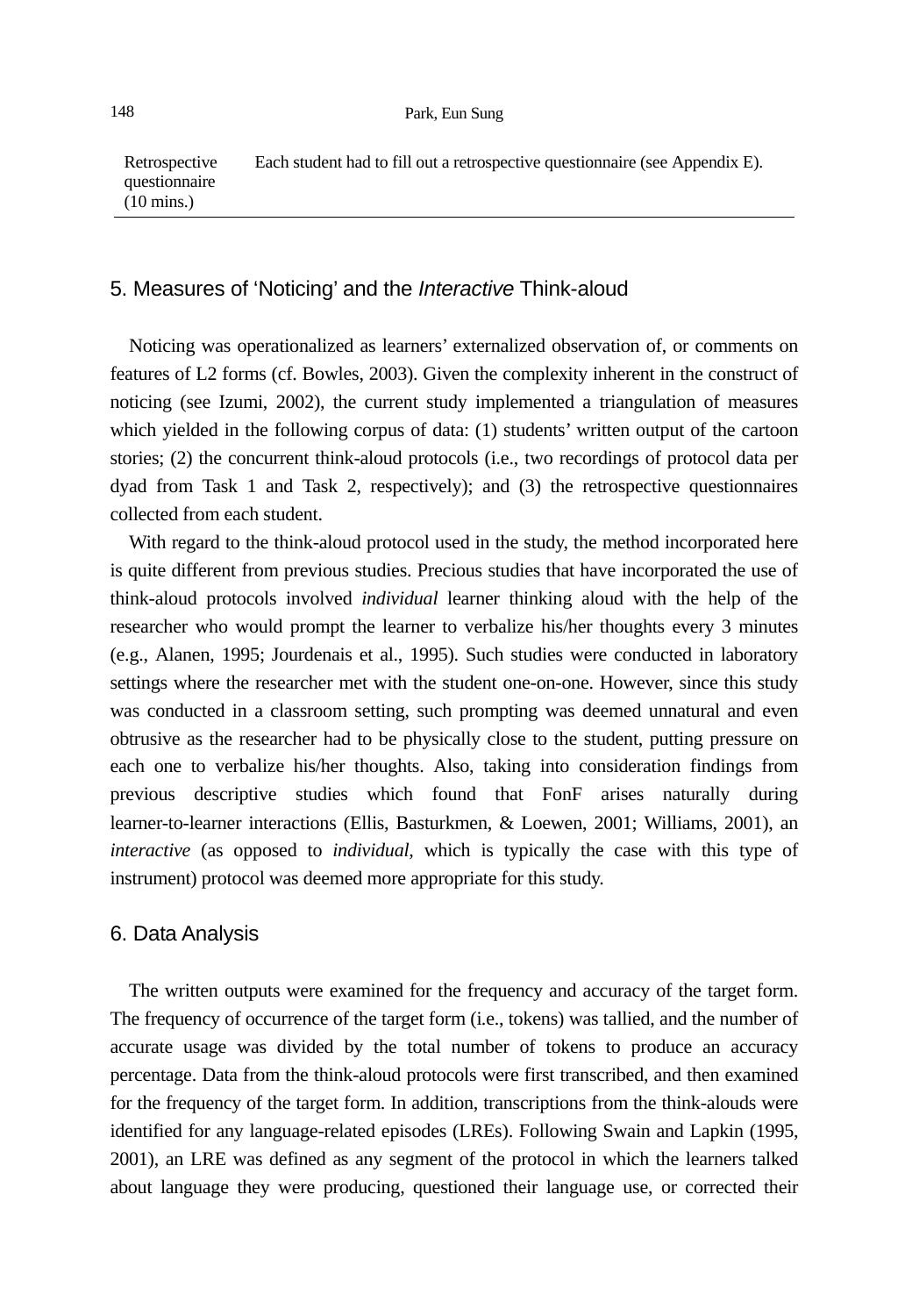Retrospective questionnaire (10 mins.) Each student had to fill out a retrospective questionnaire (see Appendix E).

### 5. Measures of 'Noticing' and the *Interactive* Think-aloud

Noticing was operationalized as learners' externalized observation of, or comments on features of L2 forms (cf. Bowles, 2003). Given the complexity inherent in the construct of noticing (see Izumi, 2002), the current study implemented a triangulation of measures which yielded in the following corpus of data: (1) students' written output of the cartoon stories; (2) the concurrent think-aloud protocols (i.e., two recordings of protocol data per dyad from Task 1 and Task 2, respectively); and (3) the retrospective questionnaires collected from each student.

With regard to the think-aloud protocol used in the study, the method incorporated here is quite different from previous studies. Precious studies that have incorporated the use of think-aloud protocols involved *individual* learner thinking aloud with the help of the researcher who would prompt the learner to verbalize his/her thoughts every 3 minutes (e.g., Alanen, 1995; Jourdenais et al., 1995). Such studies were conducted in laboratory settings where the researcher met with the student one-on-one. However, since this study was conducted in a classroom setting, such prompting was deemed unnatural and even obtrusive as the researcher had to be physically close to the student, putting pressure on each one to verbalize his/her thoughts. Also, taking into consideration findings from previous descriptive studies which found that FonF arises naturally during learner-to-learner interactions (Ellis, Basturkmen, & Loewen, 2001; Williams, 2001), an *interactive* (as opposed to *individual,* which is typically the case with this type of instrument) protocol was deemed more appropriate for this study.

### 6. Data Analysis

The written outputs were examined for the frequency and accuracy of the target form. The frequency of occurrence of the target form (i.e., tokens) was tallied, and the number of accurate usage was divided by the total number of tokens to produce an accuracy percentage. Data from the think-aloud protocols were first transcribed, and then examined for the frequency of the target form. In addition, transcriptions from the think-alouds were identified for any language-related episodes (LREs). Following Swain and Lapkin (1995, 2001), an LRE was defined as any segment of the protocol in which the learners talked about language they were producing, questioned their language use, or corrected their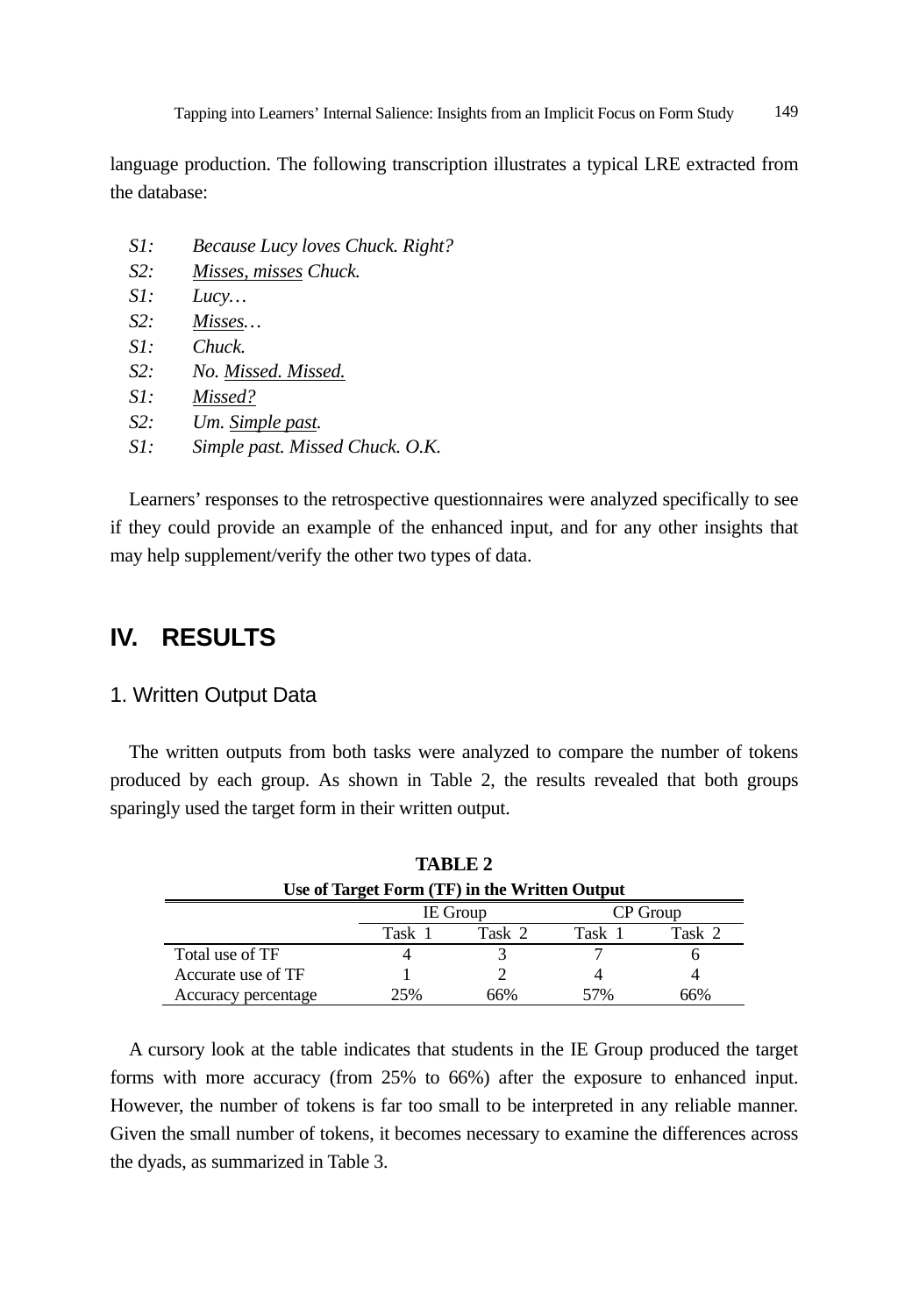language production. The following transcription illustrates a typical LRE extracted from the database:

- *S1: Because Lucy loves Chuck. Right?*
- *S2: Misses, misses Chuck.*
- *S1: Lucy…*
- *S2: Misses…*
- *S1: Chuck.*
- *S2: No. Missed. Missed.*
- *S1: Missed?*
- *S2: Um. Simple past.*
- *S1: Simple past. Missed Chuck. O.K.*

Learners' responses to the retrospective questionnaires were analyzed specifically to see if they could provide an example of the enhanced input, and for any other insights that may help supplement/verify the other two types of data.

# **IV. RESULTS**

### 1. Written Output Data

The written outputs from both tasks were analyzed to compare the number of tokens produced by each group. As shown in Table 2, the results revealed that both groups sparingly used the target form in their written output.

| TABLE 2                                       |        |                 |          |        |  |  |
|-----------------------------------------------|--------|-----------------|----------|--------|--|--|
| Use of Target Form (TF) in the Written Output |        |                 |          |        |  |  |
|                                               |        | <b>IE</b> Group | CP Group |        |  |  |
|                                               | Task 1 | Task 2          | Task 1   | Task 2 |  |  |
| Total use of TF                               |        |                 |          |        |  |  |
| Accurate use of TF                            |        |                 |          |        |  |  |
| Accuracy percentage                           | 25%    | 66%             | 57%      | 66%    |  |  |

A cursory look at the table indicates that students in the IE Group produced the target forms with more accuracy (from 25% to 66%) after the exposure to enhanced input. However, the number of tokens is far too small to be interpreted in any reliable manner. Given the small number of tokens, it becomes necessary to examine the differences across the dyads, as summarized in Table 3.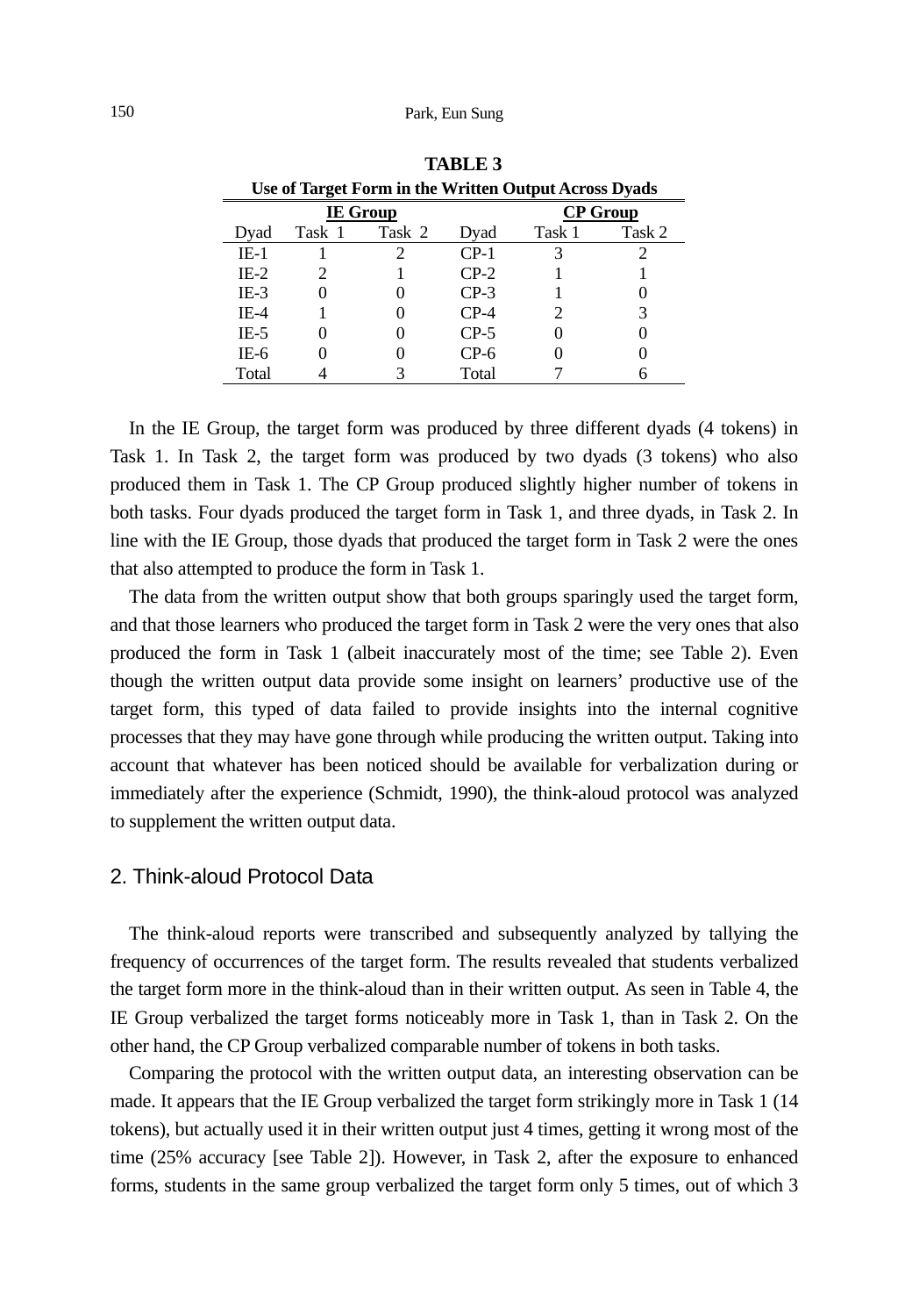| Use of Target Form in the Written Output Across Dyads |        |        |        |                 |        |  |
|-------------------------------------------------------|--------|--------|--------|-----------------|--------|--|
| <b>IE</b> Group                                       |        |        |        | <b>CP</b> Group |        |  |
| Dyad                                                  | Task 1 | Task 2 | Dyad   | Task 1          | Task 2 |  |
| $IE-1$                                                |        |        | $CP-1$ |                 |        |  |
| $IE-2$                                                |        |        | $CP-2$ |                 |        |  |
| $IE-3$                                                |        |        | $CP-3$ |                 |        |  |
| IE-4                                                  |        |        | $CP-4$ | 2               | 3      |  |
| IE-5                                                  |        |        | $CP-5$ |                 |        |  |
| IE-6                                                  |        |        | $CP-6$ |                 |        |  |
| Total                                                 |        |        | Total  |                 |        |  |

**TABLE 3** 

In the IE Group, the target form was produced by three different dyads (4 tokens) in Task 1. In Task 2, the target form was produced by two dyads (3 tokens) who also produced them in Task 1. The CP Group produced slightly higher number of tokens in both tasks. Four dyads produced the target form in Task 1, and three dyads, in Task 2. In line with the IE Group, those dyads that produced the target form in Task 2 were the ones that also attempted to produce the form in Task 1.

The data from the written output show that both groups sparingly used the target form, and that those learners who produced the target form in Task 2 were the very ones that also produced the form in Task 1 (albeit inaccurately most of the time; see Table 2). Even though the written output data provide some insight on learners' productive use of the target form, this typed of data failed to provide insights into the internal cognitive processes that they may have gone through while producing the written output. Taking into account that whatever has been noticed should be available for verbalization during or immediately after the experience (Schmidt, 1990), the think-aloud protocol was analyzed to supplement the written output data.

#### 2. Think-aloud Protocol Data

The think-aloud reports were transcribed and subsequently analyzed by tallying the frequency of occurrences of the target form. The results revealed that students verbalized the target form more in the think-aloud than in their written output. As seen in Table 4, the IE Group verbalized the target forms noticeably more in Task 1, than in Task 2. On the other hand, the CP Group verbalized comparable number of tokens in both tasks.

Comparing the protocol with the written output data, an interesting observation can be made. It appears that the IE Group verbalized the target form strikingly more in Task 1 (14 tokens), but actually used it in their written output just 4 times, getting it wrong most of the time (25% accuracy [see Table 2]). However, in Task 2, after the exposure to enhanced forms, students in the same group verbalized the target form only 5 times, out of which 3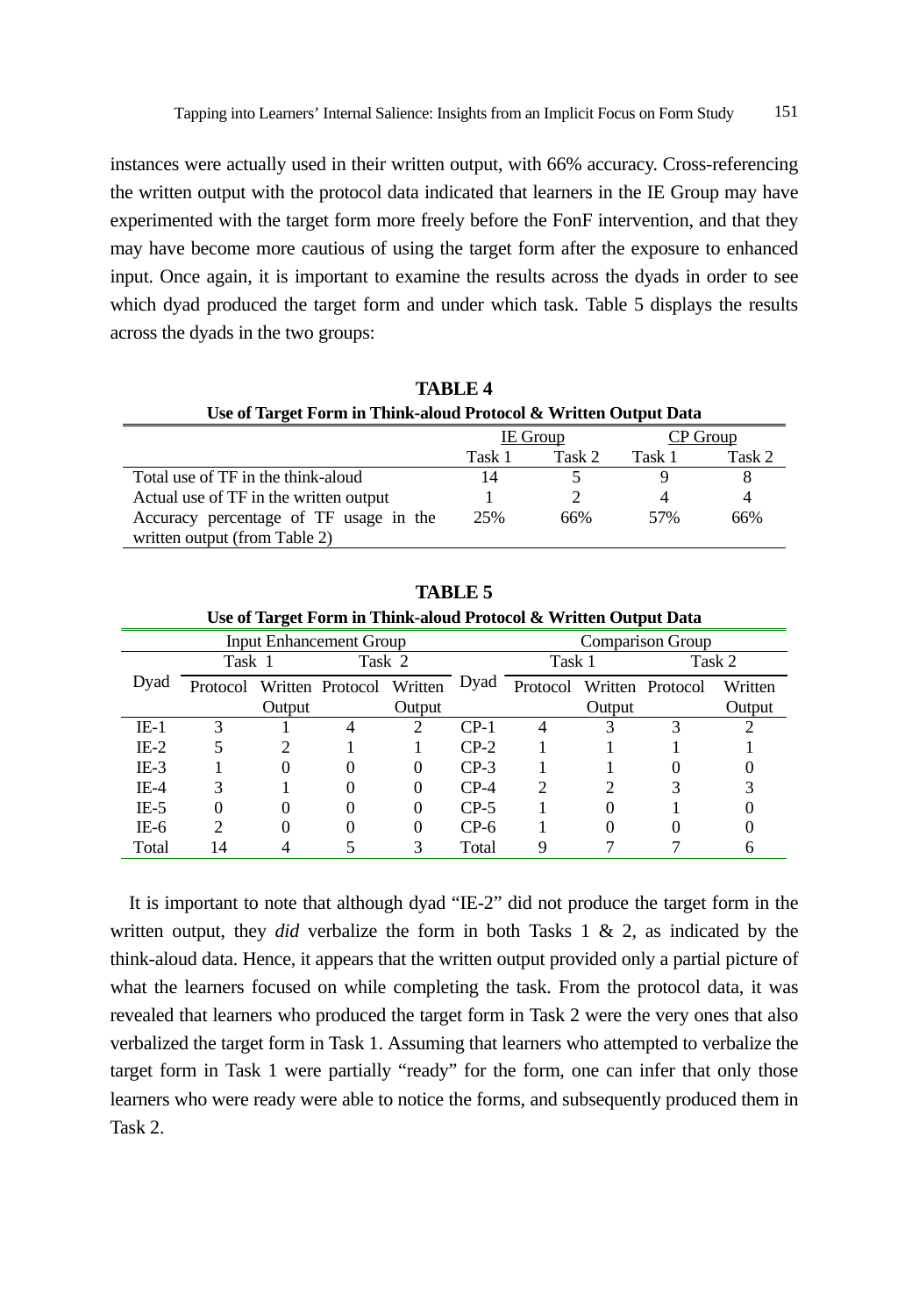instances were actually used in their written output, with 66% accuracy. Cross-referencing the written output with the protocol data indicated that learners in the IE Group may have experimented with the target form more freely before the FonF intervention, and that they may have become more cautious of using the target form after the exposure to enhanced input. Once again, it is important to examine the results across the dyads in order to see which dyad produced the target form and under which task. Table 5 displays the results across the dyads in the two groups:

| TABLE 4                                                          |          |        |        |          |  |  |
|------------------------------------------------------------------|----------|--------|--------|----------|--|--|
| Use of Target Form in Think-aloud Protocol & Written Output Data |          |        |        |          |  |  |
|                                                                  | IE Group |        |        | CP Group |  |  |
|                                                                  | Task 1   | Task 2 | Task 1 | Task 2   |  |  |
| Total use of TF in the think-aloud                               | 14       |        |        |          |  |  |
| Actual use of TF in the written output                           |          |        |        | 4        |  |  |
| Accuracy percentage of TF usage in the                           | 25%      | 66%    | 57%    | 66%      |  |  |
| written output (from Table 2)                                    |          |        |        |          |  |  |

**TABLE 4** 

**TABLE 5** 

| Use of Target Form in Think-aloud Protocol & Written Output Data |          |        |                  |          |                  |          |        |                  |         |
|------------------------------------------------------------------|----------|--------|------------------|----------|------------------|----------|--------|------------------|---------|
| <b>Input Enhancement Group</b>                                   |          |        |                  |          | Comparison Group |          |        |                  |         |
|                                                                  | Task 1   |        | Task 2           |          |                  | Task 1   |        | Task 2           |         |
| Dyad                                                             | Protocol |        | Written Protocol | Written  | Dyad             | Protocol |        | Written Protocol | Written |
|                                                                  |          | Output |                  | Output   |                  |          | Output |                  | Output  |
| $IE-1$                                                           |          |        |                  |          | $CP-1$           |          |        |                  |         |
| $IE-2$                                                           |          |        |                  |          | $CP-2$           |          |        |                  |         |
| $IE-3$                                                           |          |        |                  | $\theta$ | $CP-3$           |          |        |                  |         |
| $IE-4$                                                           |          |        |                  | 0        | $CP-4$           |          |        |                  |         |
| $IE-5$                                                           |          |        |                  | 0        | $CP-5$           |          |        |                  |         |
| IE-6                                                             |          |        |                  |          | $CP-6$           |          |        |                  |         |
| Total                                                            | 14       |        |                  |          | Total            |          |        |                  |         |

It is important to note that although dyad "IE-2" did not produce the target form in the written output, they *did* verbalize the form in both Tasks 1 & 2, as indicated by the think-aloud data. Hence, it appears that the written output provided only a partial picture of what the learners focused on while completing the task. From the protocol data, it was revealed that learners who produced the target form in Task 2 were the very ones that also verbalized the target form in Task 1. Assuming that learners who attempted to verbalize the target form in Task 1 were partially "ready" for the form, one can infer that only those learners who were ready were able to notice the forms, and subsequently produced them in Task 2.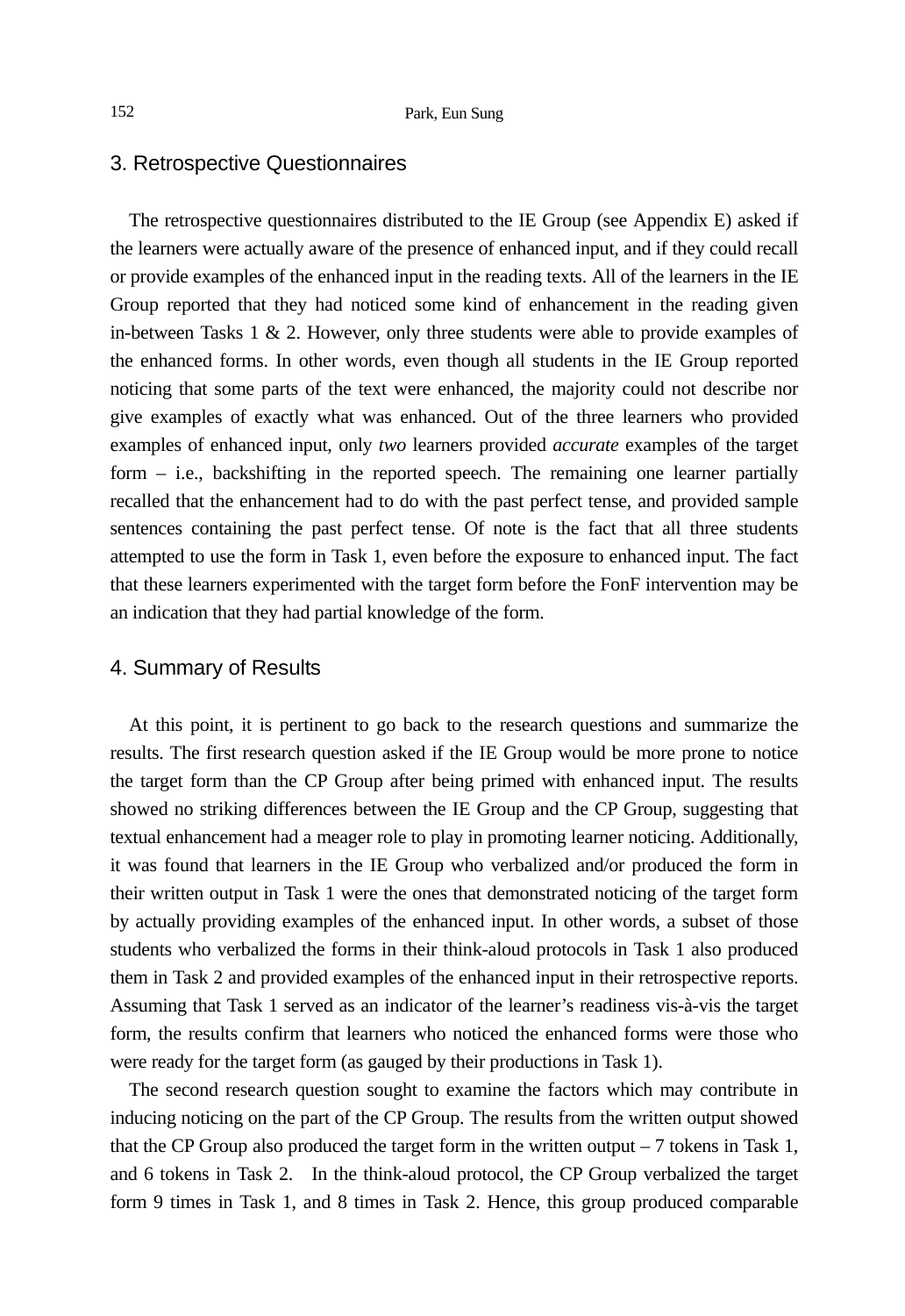### 3. Retrospective Questionnaires

The retrospective questionnaires distributed to the IE Group (see Appendix E) asked if the learners were actually aware of the presence of enhanced input, and if they could recall or provide examples of the enhanced input in the reading texts. All of the learners in the IE Group reported that they had noticed some kind of enhancement in the reading given in-between Tasks 1 & 2. However, only three students were able to provide examples of the enhanced forms. In other words, even though all students in the IE Group reported noticing that some parts of the text were enhanced, the majority could not describe nor give examples of exactly what was enhanced. Out of the three learners who provided examples of enhanced input, only *two* learners provided *accurate* examples of the target form – i.e., backshifting in the reported speech. The remaining one learner partially recalled that the enhancement had to do with the past perfect tense, and provided sample sentences containing the past perfect tense. Of note is the fact that all three students attempted to use the form in Task 1, even before the exposure to enhanced input. The fact that these learners experimented with the target form before the FonF intervention may be an indication that they had partial knowledge of the form.

#### 4. Summary of Results

At this point, it is pertinent to go back to the research questions and summarize the results. The first research question asked if the IE Group would be more prone to notice the target form than the CP Group after being primed with enhanced input. The results showed no striking differences between the IE Group and the CP Group, suggesting that textual enhancement had a meager role to play in promoting learner noticing. Additionally, it was found that learners in the IE Group who verbalized and/or produced the form in their written output in Task 1 were the ones that demonstrated noticing of the target form by actually providing examples of the enhanced input. In other words, a subset of those students who verbalized the forms in their think-aloud protocols in Task 1 also produced them in Task 2 and provided examples of the enhanced input in their retrospective reports. Assuming that Task 1 served as an indicator of the learner's readiness vis-à-vis the target form, the results confirm that learners who noticed the enhanced forms were those who were ready for the target form (as gauged by their productions in Task 1).

The second research question sought to examine the factors which may contribute in inducing noticing on the part of the CP Group. The results from the written output showed that the CP Group also produced the target form in the written output  $-7$  tokens in Task 1, and 6 tokens in Task 2. In the think-aloud protocol, the CP Group verbalized the target form 9 times in Task 1, and 8 times in Task 2. Hence, this group produced comparable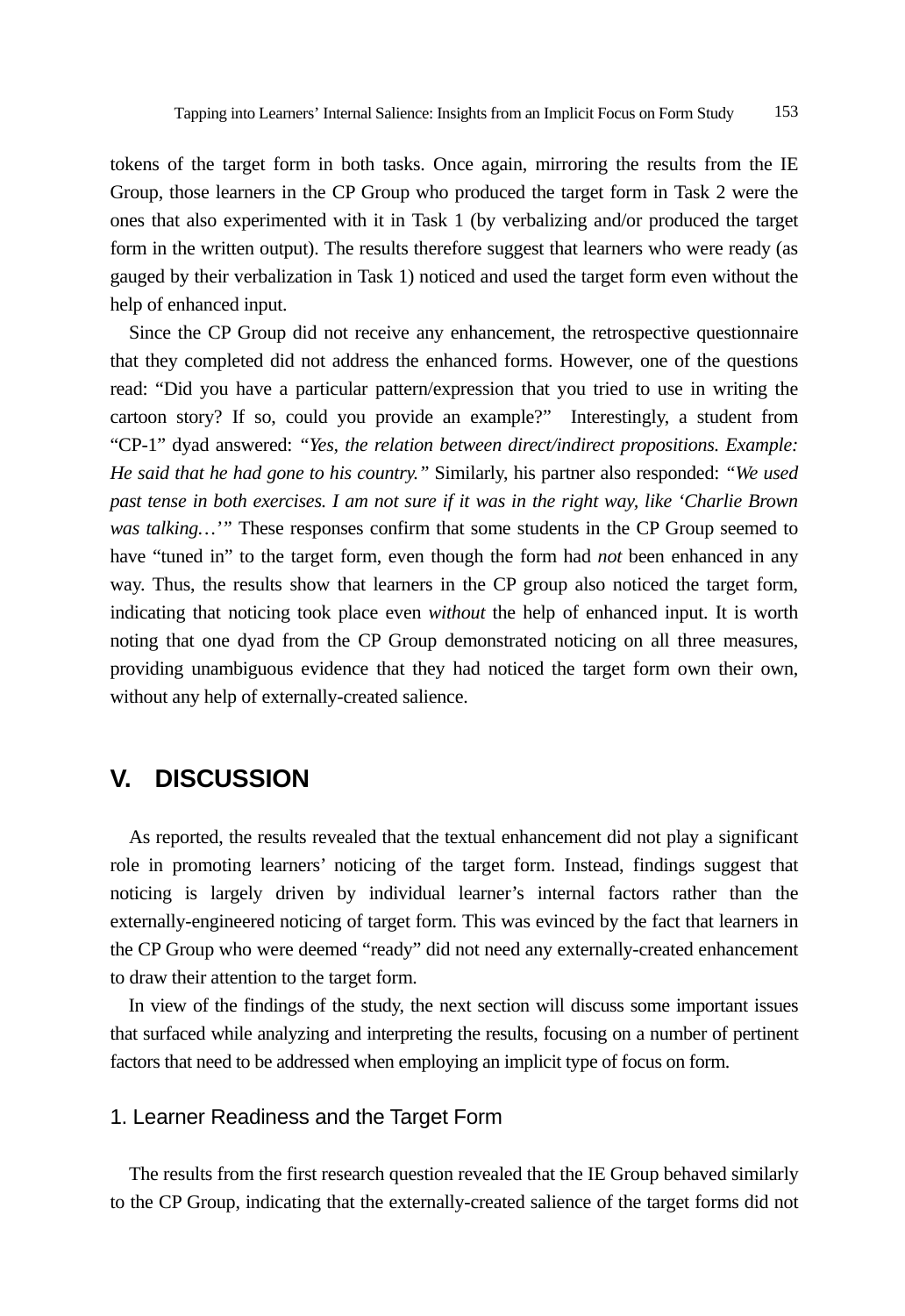tokens of the target form in both tasks. Once again, mirroring the results from the IE Group, those learners in the CP Group who produced the target form in Task 2 were the ones that also experimented with it in Task 1 (by verbalizing and/or produced the target form in the written output). The results therefore suggest that learners who were ready (as gauged by their verbalization in Task 1) noticed and used the target form even without the help of enhanced input.

Since the CP Group did not receive any enhancement, the retrospective questionnaire that they completed did not address the enhanced forms. However, one of the questions read: "Did you have a particular pattern/expression that you tried to use in writing the cartoon story? If so, could you provide an example?" Interestingly, a student from "CP-1" dyad answered: *"Yes, the relation between direct/indirect propositions. Example: He said that he had gone to his country."* Similarly, his partner also responded: *"We used past tense in both exercises. I am not sure if it was in the right way, like 'Charlie Brown was talking...*'" These responses confirm that some students in the CP Group seemed to have "tuned in" to the target form, even though the form had *not* been enhanced in any way. Thus, the results show that learners in the CP group also noticed the target form, indicating that noticing took place even *without* the help of enhanced input. It is worth noting that one dyad from the CP Group demonstrated noticing on all three measures, providing unambiguous evidence that they had noticed the target form own their own, without any help of externally-created salience.

# **V. DISCUSSION**

As reported, the results revealed that the textual enhancement did not play a significant role in promoting learners' noticing of the target form. Instead, findings suggest that noticing is largely driven by individual learner's internal factors rather than the externally-engineered noticing of target form. This was evinced by the fact that learners in the CP Group who were deemed "ready" did not need any externally-created enhancement to draw their attention to the target form.

In view of the findings of the study, the next section will discuss some important issues that surfaced while analyzing and interpreting the results, focusing on a number of pertinent factors that need to be addressed when employing an implicit type of focus on form.

## 1. Learner Readiness and the Target Form

The results from the first research question revealed that the IE Group behaved similarly to the CP Group, indicating that the externally-created salience of the target forms did not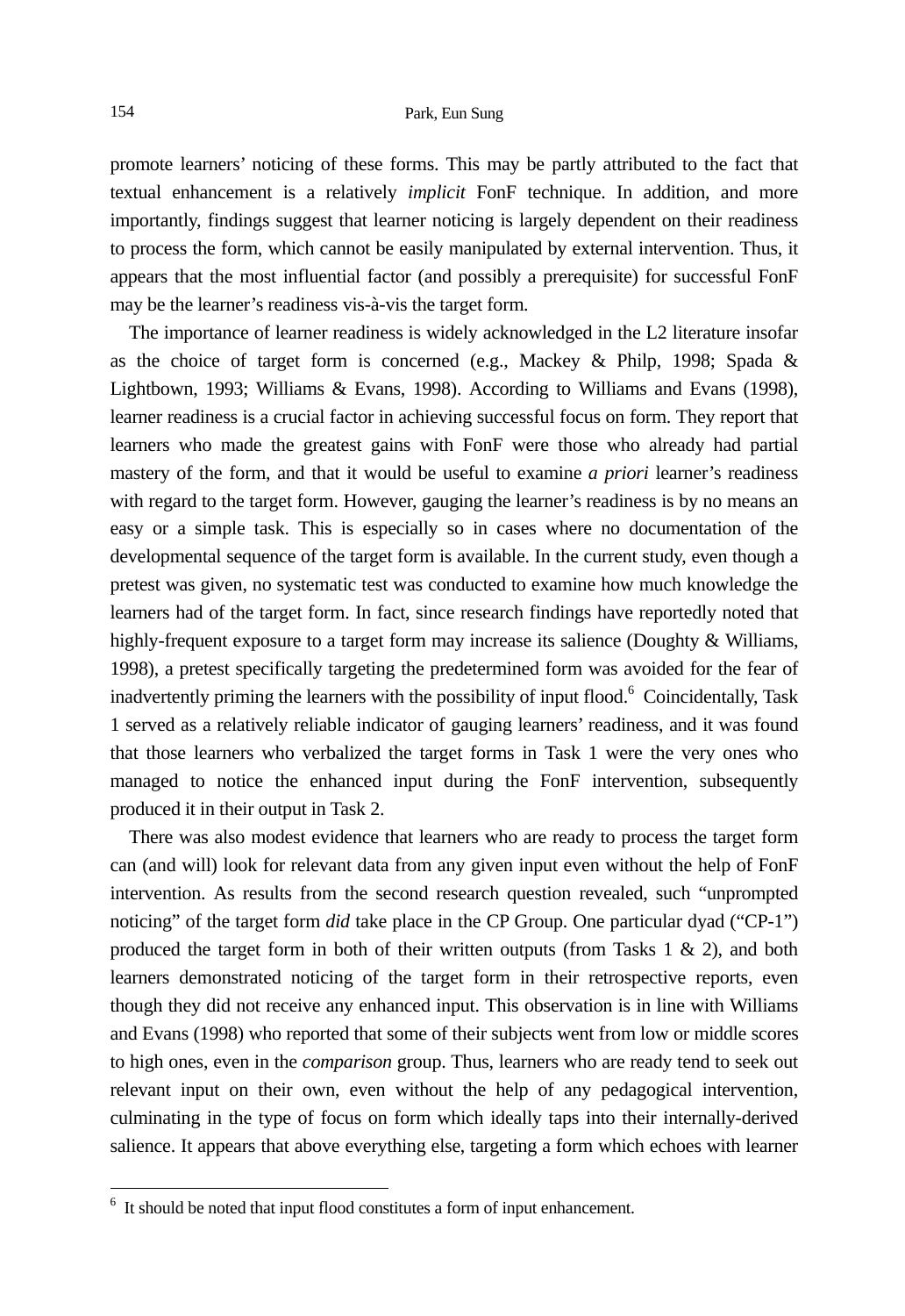promote learners' noticing of these forms. This may be partly attributed to the fact that textual enhancement is a relatively *implicit* FonF technique. In addition, and more importantly, findings suggest that learner noticing is largely dependent on their readiness to process the form, which cannot be easily manipulated by external intervention. Thus, it appears that the most influential factor (and possibly a prerequisite) for successful FonF may be the learner's readiness vis-à-vis the target form.

The importance of learner readiness is widely acknowledged in the L2 literature insofar as the choice of target form is concerned (e.g., Mackey & Philp, 1998; Spada & Lightbown, 1993; Williams & Evans, 1998). According to Williams and Evans (1998), learner readiness is a crucial factor in achieving successful focus on form. They report that learners who made the greatest gains with FonF were those who already had partial mastery of the form, and that it would be useful to examine *a priori* learner's readiness with regard to the target form. However, gauging the learner's readiness is by no means an easy or a simple task. This is especially so in cases where no documentation of the developmental sequence of the target form is available. In the current study, even though a pretest was given, no systematic test was conducted to examine how much knowledge the learners had of the target form. In fact, since research findings have reportedly noted that highly-frequent exposure to a target form may increase its salience (Doughty & Williams, 1998), a pretest specifically targeting the predetermined form was avoided for the fear of inadvertently priming the learners with the possibility of input flood.<sup>6</sup> Coincidentally, Task 1 served as a relatively reliable indicator of gauging learners' readiness, and it was found that those learners who verbalized the target forms in Task 1 were the very ones who managed to notice the enhanced input during the FonF intervention, subsequently produced it in their output in Task 2.

There was also modest evidence that learners who are ready to process the target form can (and will) look for relevant data from any given input even without the help of FonF intervention. As results from the second research question revealed, such "unprompted noticing" of the target form *did* take place in the CP Group. One particular dyad ("CP-1") produced the target form in both of their written outputs (from Tasks  $1 \& 2$ ), and both learners demonstrated noticing of the target form in their retrospective reports, even though they did not receive any enhanced input. This observation is in line with Williams and Evans (1998) who reported that some of their subjects went from low or middle scores to high ones, even in the *comparison* group. Thus, learners who are ready tend to seek out relevant input on their own, even without the help of any pedagogical intervention, culminating in the type of focus on form which ideally taps into their internally-derived salience. It appears that above everything else, targeting a form which echoes with learner

-

<sup>&</sup>lt;sup>6</sup> It should be noted that input flood constitutes a form of input enhancement.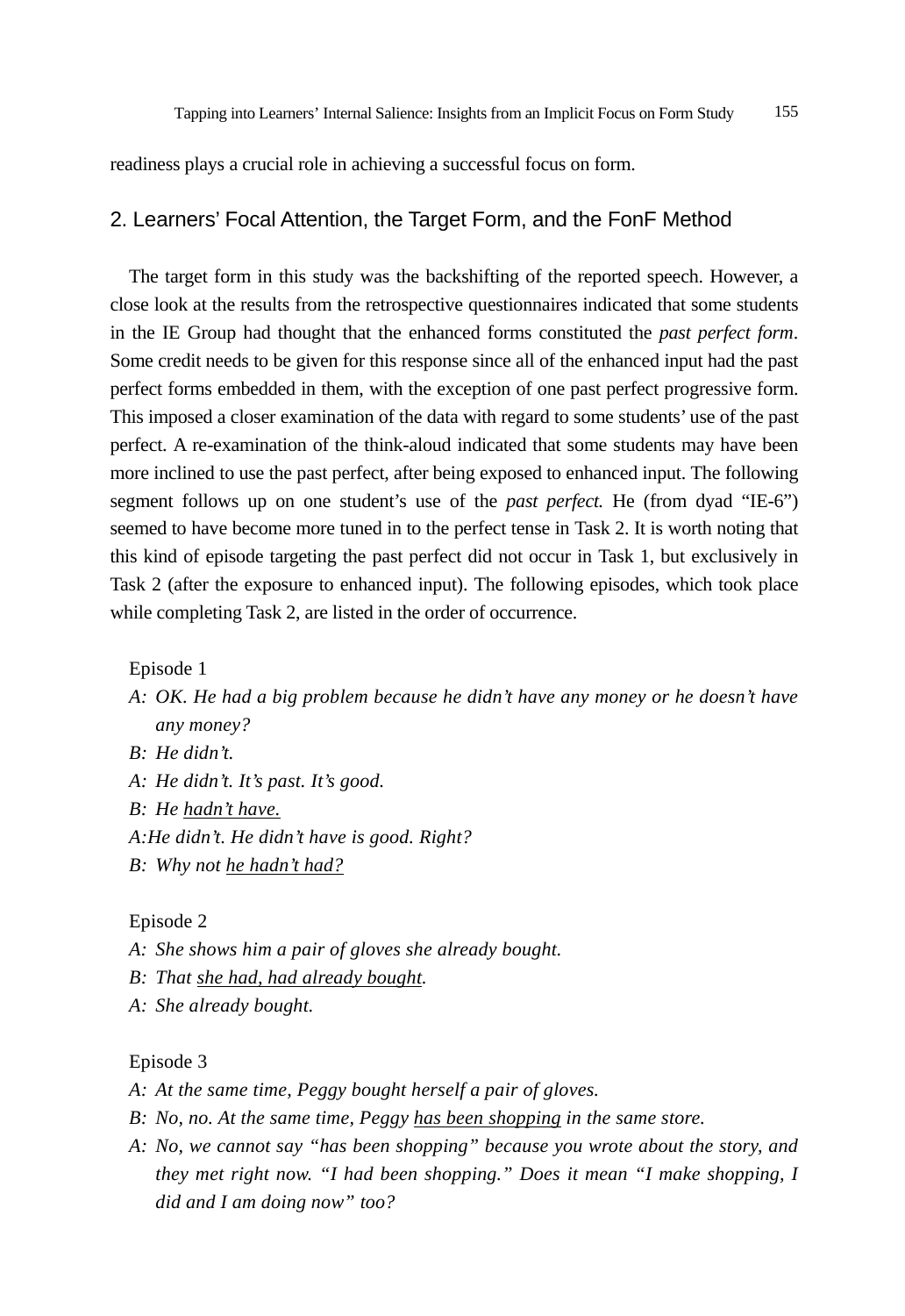readiness plays a crucial role in achieving a successful focus on form.

## 2. Learners' Focal Attention, the Target Form, and the FonF Method

The target form in this study was the backshifting of the reported speech. However, a close look at the results from the retrospective questionnaires indicated that some students in the IE Group had thought that the enhanced forms constituted the *past perfect form*. Some credit needs to be given for this response since all of the enhanced input had the past perfect forms embedded in them, with the exception of one past perfect progressive form. This imposed a closer examination of the data with regard to some students' use of the past perfect. A re-examination of the think-aloud indicated that some students may have been more inclined to use the past perfect, after being exposed to enhanced input. The following segment follows up on one student's use of the *past perfect.* He (from dyad "IE-6") seemed to have become more tuned in to the perfect tense in Task 2. It is worth noting that this kind of episode targeting the past perfect did not occur in Task 1, but exclusively in Task 2 (after the exposure to enhanced input). The following episodes, which took place while completing Task 2, are listed in the order of occurrence.

Episode 1

- *A: OK. He had a big problem because he didn't have any money or he doesn't have any money?*
- *B: He didn't.*
- *A: He didn't. It's past. It's good.*
- *B: He hadn't have.*
- *A:He didn't. He didn't have is good. Right?*
- *B: Why not he hadn't had?*

Episode 2

- *A: She shows him a pair of gloves she already bought.*
- *B: That she had, had already bought.*
- *A: She already bought.*

#### Episode 3

- *A: At the same time, Peggy bought herself a pair of gloves.*
- *B: No, no. At the same time, Peggy has been shopping in the same store.*
- *A: No, we cannot say "has been shopping" because you wrote about the story, and they met right now. "I had been shopping." Does it mean "I make shopping, I did and I am doing now" too?*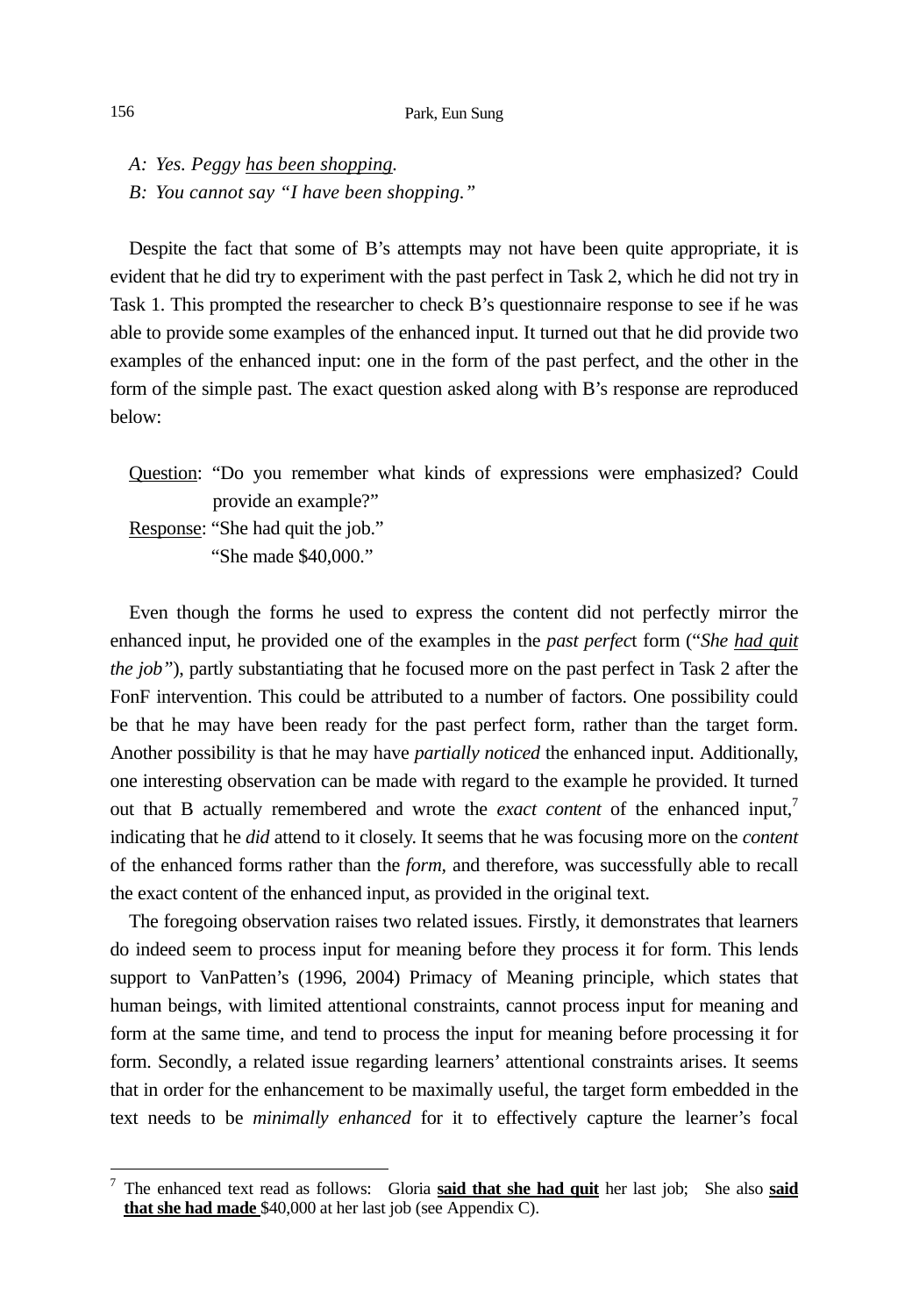*A: Yes. Peggy has been shopping.* 

*B: You cannot say "I have been shopping."* 

Despite the fact that some of B's attempts may not have been quite appropriate, it is evident that he did try to experiment with the past perfect in Task 2, which he did not try in Task 1. This prompted the researcher to check B's questionnaire response to see if he was able to provide some examples of the enhanced input. It turned out that he did provide two examples of the enhanced input: one in the form of the past perfect, and the other in the form of the simple past. The exact question asked along with B's response are reproduced below:

Question: "Do you remember what kinds of expressions were emphasized? Could provide an example?"

Response: "She had quit the job."

"She made \$40,000."

Even though the forms he used to express the content did not perfectly mirror the enhanced input, he provided one of the examples in the *past perfec*t form ("*She had quit the job"*), partly substantiating that he focused more on the past perfect in Task 2 after the FonF intervention. This could be attributed to a number of factors. One possibility could be that he may have been ready for the past perfect form, rather than the target form. Another possibility is that he may have *partially noticed* the enhanced input. Additionally, one interesting observation can be made with regard to the example he provided. It turned out that B actually remembered and wrote the *exact content* of the enhanced input, indicating that he *did* attend to it closely. It seems that he was focusing more on the *content* of the enhanced forms rather than the *form,* and therefore, was successfully able to recall the exact content of the enhanced input, as provided in the original text.

The foregoing observation raises two related issues. Firstly, it demonstrates that learners do indeed seem to process input for meaning before they process it for form. This lends support to VanPatten's (1996, 2004) Primacy of Meaning principle, which states that human beings, with limited attentional constraints, cannot process input for meaning and form at the same time, and tend to process the input for meaning before processing it for form. Secondly, a related issue regarding learners' attentional constraints arises. It seems that in order for the enhancement to be maximally useful, the target form embedded in the text needs to be *minimally enhanced* for it to effectively capture the learner's focal

l

<sup>7</sup> The enhanced text read as follows: Gloria **said that she had quit** her last job; She also **said that she had made** \$40,000 at her last job (see Appendix C).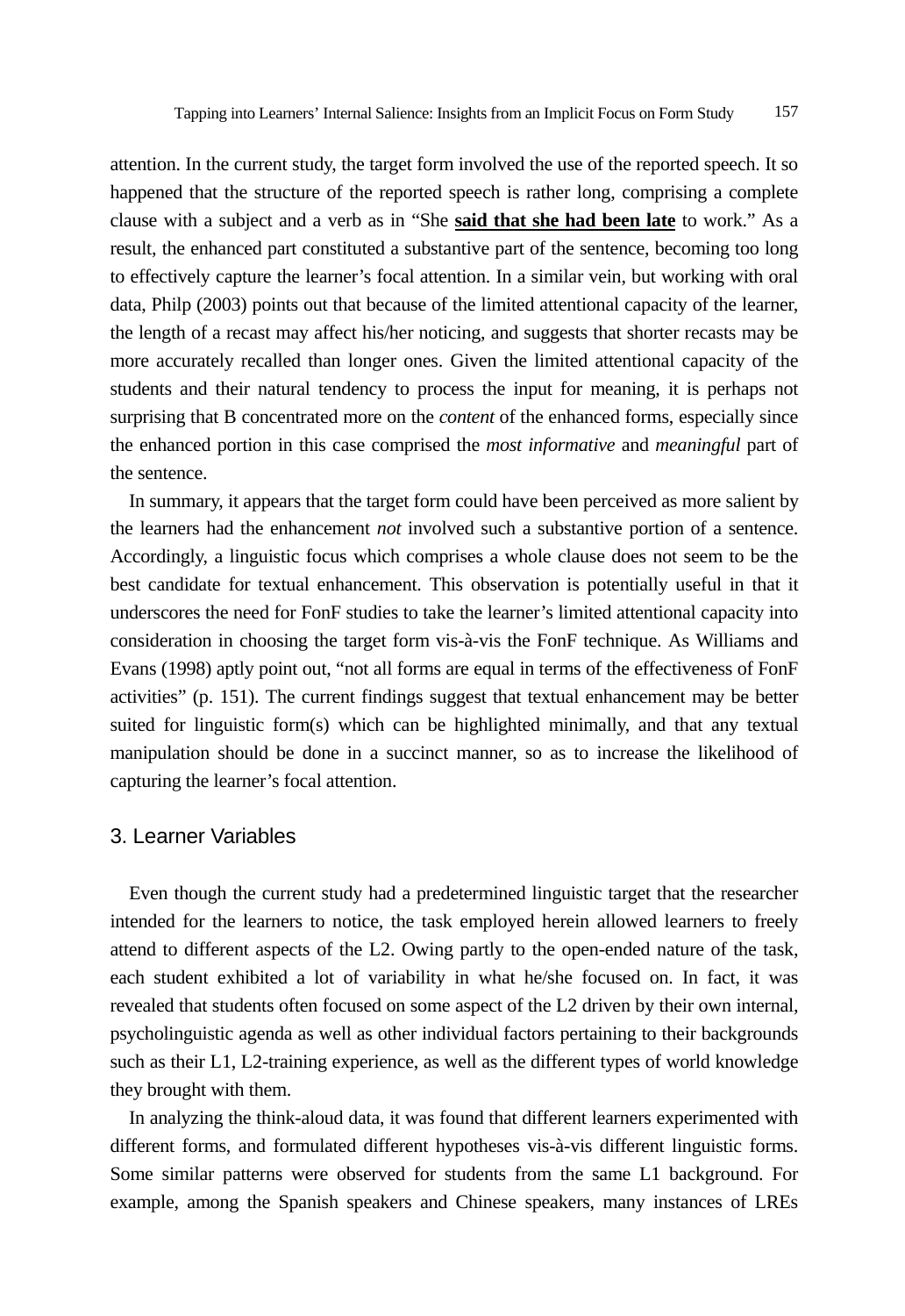attention. In the current study, the target form involved the use of the reported speech. It so happened that the structure of the reported speech is rather long, comprising a complete clause with a subject and a verb as in "She **said that she had been late** to work." As a result, the enhanced part constituted a substantive part of the sentence, becoming too long to effectively capture the learner's focal attention. In a similar vein, but working with oral data, Philp (2003) points out that because of the limited attentional capacity of the learner, the length of a recast may affect his/her noticing, and suggests that shorter recasts may be more accurately recalled than longer ones. Given the limited attentional capacity of the students and their natural tendency to process the input for meaning, it is perhaps not surprising that B concentrated more on the *content* of the enhanced forms, especially since the enhanced portion in this case comprised the *most informative* and *meaningful* part of the sentence.

In summary, it appears that the target form could have been perceived as more salient by the learners had the enhancement *not* involved such a substantive portion of a sentence. Accordingly, a linguistic focus which comprises a whole clause does not seem to be the best candidate for textual enhancement. This observation is potentially useful in that it underscores the need for FonF studies to take the learner's limited attentional capacity into consideration in choosing the target form vis-à-vis the FonF technique. As Williams and Evans (1998) aptly point out, "not all forms are equal in terms of the effectiveness of FonF activities" (p. 151). The current findings suggest that textual enhancement may be better suited for linguistic form(s) which can be highlighted minimally, and that any textual manipulation should be done in a succinct manner, so as to increase the likelihood of capturing the learner's focal attention.

### 3. Learner Variables

Even though the current study had a predetermined linguistic target that the researcher intended for the learners to notice, the task employed herein allowed learners to freely attend to different aspects of the L2. Owing partly to the open-ended nature of the task, each student exhibited a lot of variability in what he/she focused on. In fact, it was revealed that students often focused on some aspect of the L2 driven by their own internal, psycholinguistic agenda as well as other individual factors pertaining to their backgrounds such as their L1, L2-training experience, as well as the different types of world knowledge they brought with them.

In analyzing the think-aloud data, it was found that different learners experimented with different forms, and formulated different hypotheses vis-à-vis different linguistic forms. Some similar patterns were observed for students from the same L1 background. For example, among the Spanish speakers and Chinese speakers, many instances of LREs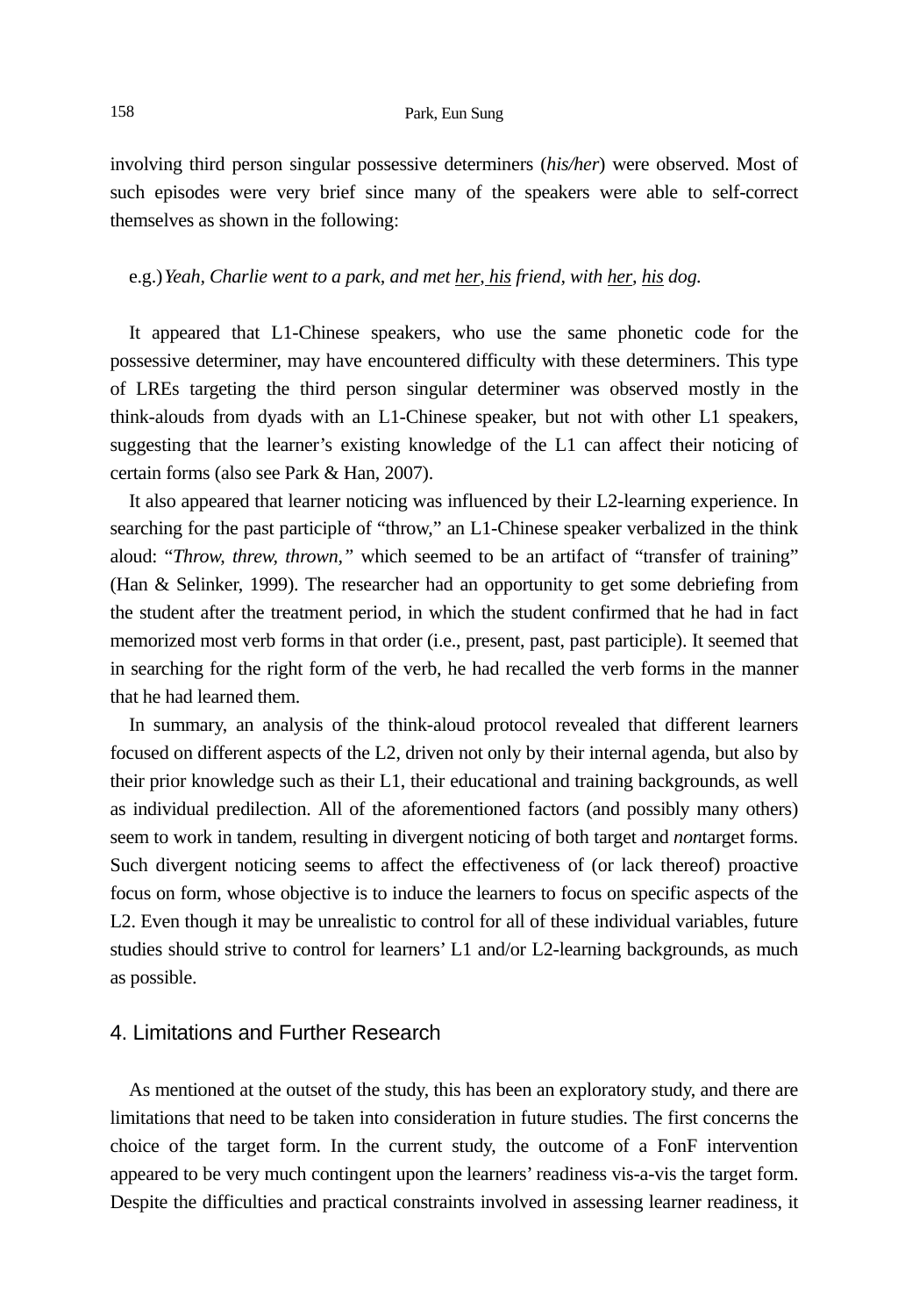involving third person singular possessive determiners (*his/her*) were observed. Most of such episodes were very brief since many of the speakers were able to self-correct themselves as shown in the following:

#### e.g.) *Yeah, Charlie went to a park, and met her, his friend, with her, his dog.*

It appeared that L1-Chinese speakers, who use the same phonetic code for the possessive determiner, may have encountered difficulty with these determiners. This type of LREs targeting the third person singular determiner was observed mostly in the think-alouds from dyads with an L1-Chinese speaker, but not with other L1 speakers, suggesting that the learner's existing knowledge of the L1 can affect their noticing of certain forms (also see Park & Han, 2007).

It also appeared that learner noticing was influenced by their L2-learning experience. In searching for the past participle of "throw," an L1-Chinese speaker verbalized in the think aloud: "*Throw, threw, thrown,"* which seemed to be an artifact of "transfer of training" (Han & Selinker, 1999). The researcher had an opportunity to get some debriefing from the student after the treatment period, in which the student confirmed that he had in fact memorized most verb forms in that order (i.e., present, past, past participle). It seemed that in searching for the right form of the verb, he had recalled the verb forms in the manner that he had learned them.

In summary, an analysis of the think-aloud protocol revealed that different learners focused on different aspects of the L2, driven not only by their internal agenda, but also by their prior knowledge such as their L1, their educational and training backgrounds, as well as individual predilection. All of the aforementioned factors (and possibly many others) seem to work in tandem, resulting in divergent noticing of both target and *non*target forms. Such divergent noticing seems to affect the effectiveness of (or lack thereof) proactive focus on form, whose objective is to induce the learners to focus on specific aspects of the L2. Even though it may be unrealistic to control for all of these individual variables, future studies should strive to control for learners' L1 and/or L2-learning backgrounds, as much as possible.

## 4. Limitations and Further Research

As mentioned at the outset of the study, this has been an exploratory study, and there are limitations that need to be taken into consideration in future studies. The first concerns the choice of the target form. In the current study, the outcome of a FonF intervention appeared to be very much contingent upon the learners' readiness vis-a-vis the target form. Despite the difficulties and practical constraints involved in assessing learner readiness, it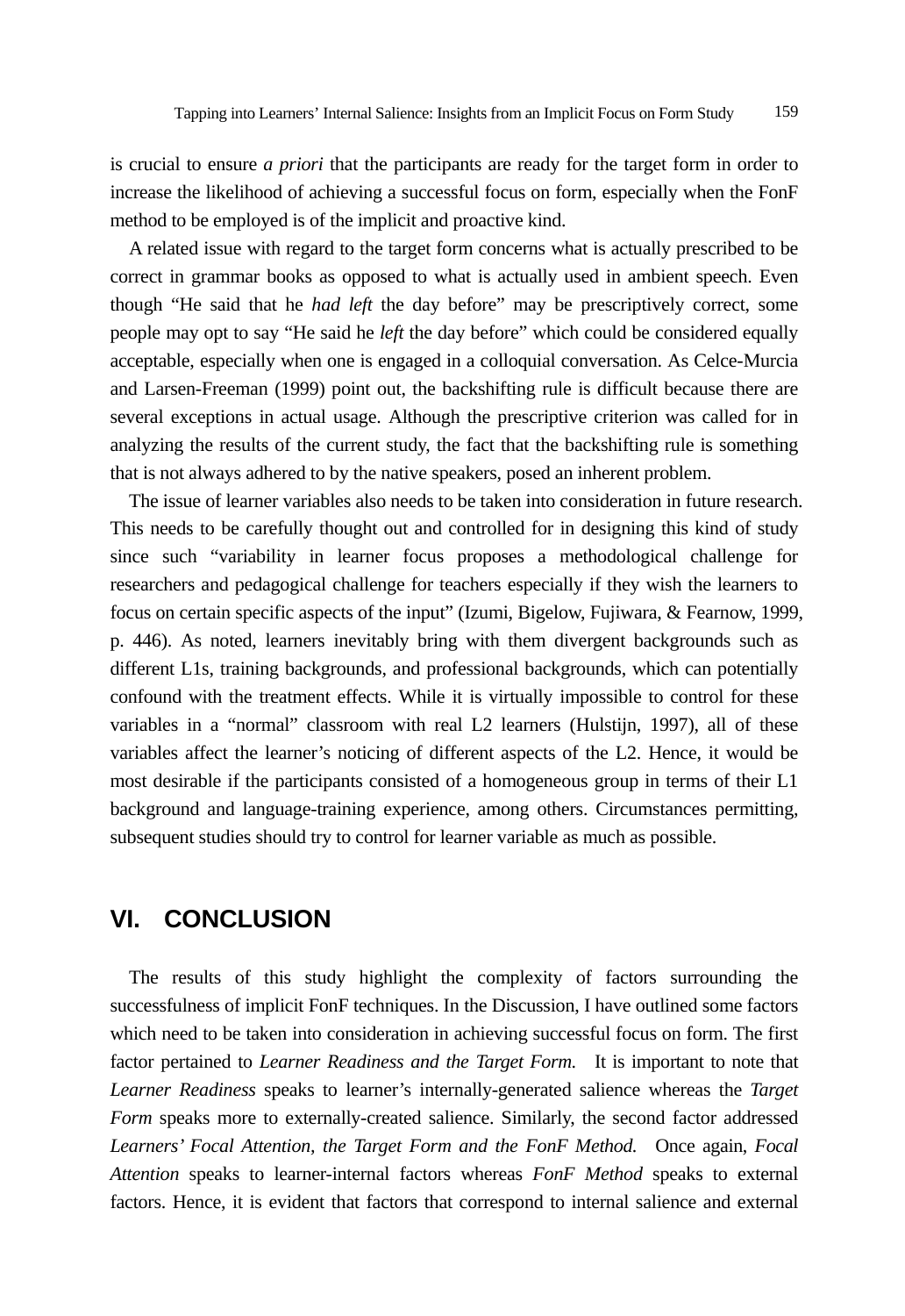is crucial to ensure *a priori* that the participants are ready for the target form in order to increase the likelihood of achieving a successful focus on form, especially when the FonF method to be employed is of the implicit and proactive kind.

A related issue with regard to the target form concerns what is actually prescribed to be correct in grammar books as opposed to what is actually used in ambient speech. Even though "He said that he *had left* the day before" may be prescriptively correct, some people may opt to say "He said he *left* the day before" which could be considered equally acceptable, especially when one is engaged in a colloquial conversation. As Celce-Murcia and Larsen-Freeman (1999) point out, the backshifting rule is difficult because there are several exceptions in actual usage. Although the prescriptive criterion was called for in analyzing the results of the current study, the fact that the backshifting rule is something that is not always adhered to by the native speakers, posed an inherent problem.

The issue of learner variables also needs to be taken into consideration in future research. This needs to be carefully thought out and controlled for in designing this kind of study since such "variability in learner focus proposes a methodological challenge for researchers and pedagogical challenge for teachers especially if they wish the learners to focus on certain specific aspects of the input" (Izumi, Bigelow, Fujiwara, & Fearnow, 1999, p. 446). As noted, learners inevitably bring with them divergent backgrounds such as different L1s, training backgrounds, and professional backgrounds, which can potentially confound with the treatment effects. While it is virtually impossible to control for these variables in a "normal" classroom with real L2 learners (Hulstijn, 1997), all of these variables affect the learner's noticing of different aspects of the L2. Hence, it would be most desirable if the participants consisted of a homogeneous group in terms of their L1 background and language-training experience, among others. Circumstances permitting, subsequent studies should try to control for learner variable as much as possible.

## **VI. CONCLUSION**

The results of this study highlight the complexity of factors surrounding the successfulness of implicit FonF techniques. In the Discussion, I have outlined some factors which need to be taken into consideration in achieving successful focus on form. The first factor pertained to *Learner Readiness and the Target Form.* It is important to note that *Learner Readiness* speaks to learner's internally-generated salience whereas the *Target Form* speaks more to externally-created salience. Similarly, the second factor addressed *Learners' Focal Attention, the Target Form and the FonF Method.* Once again, *Focal Attention* speaks to learner-internal factors whereas *FonF Method* speaks to external factors. Hence, it is evident that factors that correspond to internal salience and external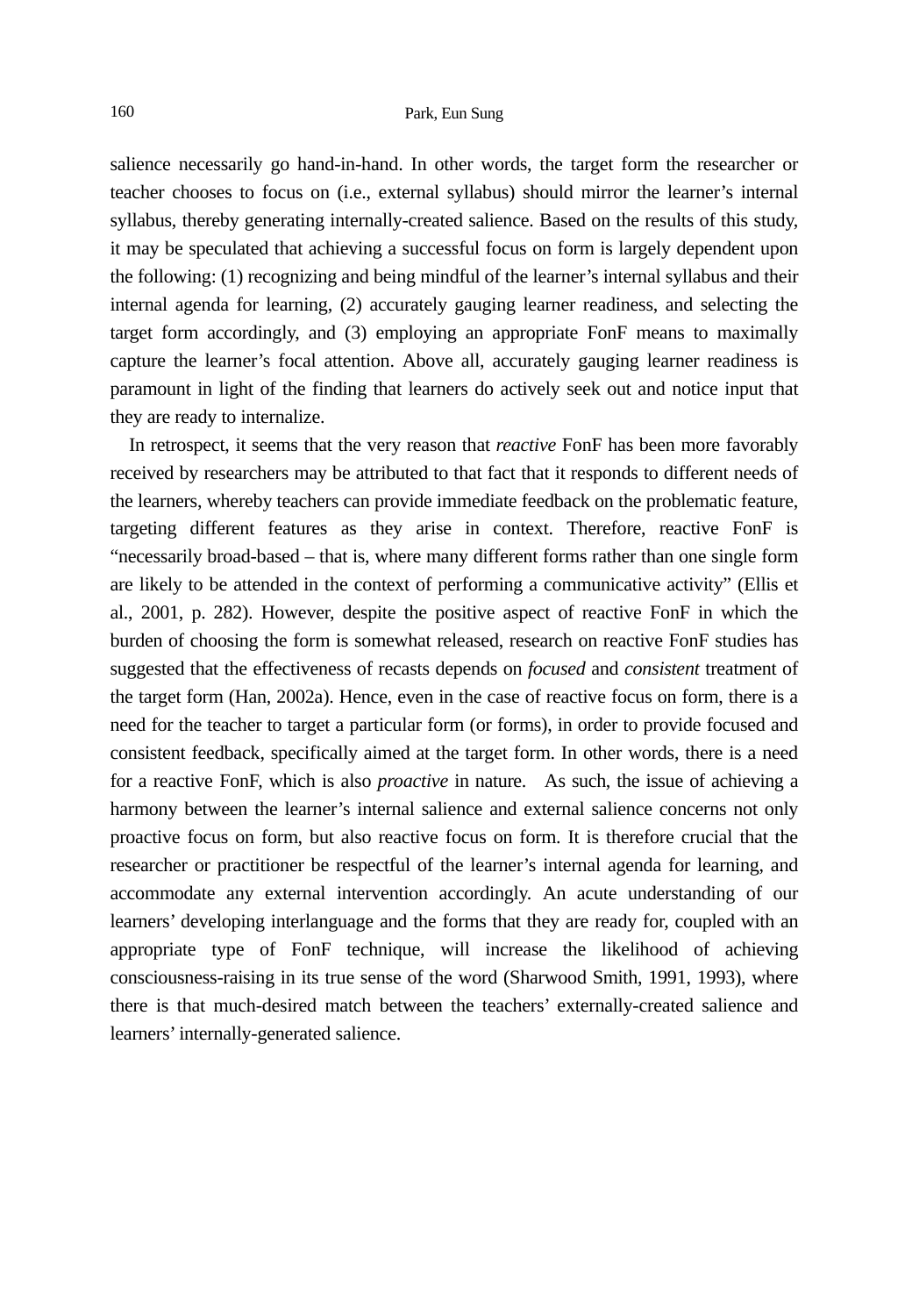salience necessarily go hand-in-hand. In other words, the target form the researcher or teacher chooses to focus on (i.e., external syllabus) should mirror the learner's internal syllabus, thereby generating internally-created salience. Based on the results of this study, it may be speculated that achieving a successful focus on form is largely dependent upon the following: (1) recognizing and being mindful of the learner's internal syllabus and their internal agenda for learning, (2) accurately gauging learner readiness, and selecting the target form accordingly, and (3) employing an appropriate FonF means to maximally capture the learner's focal attention. Above all, accurately gauging learner readiness is paramount in light of the finding that learners do actively seek out and notice input that they are ready to internalize.

In retrospect, it seems that the very reason that *reactive* FonF has been more favorably received by researchers may be attributed to that fact that it responds to different needs of the learners, whereby teachers can provide immediate feedback on the problematic feature, targeting different features as they arise in context. Therefore, reactive FonF is "necessarily broad-based – that is, where many different forms rather than one single form are likely to be attended in the context of performing a communicative activity" (Ellis et al., 2001, p. 282). However, despite the positive aspect of reactive FonF in which the burden of choosing the form is somewhat released, research on reactive FonF studies has suggested that the effectiveness of recasts depends on *focused* and *consistent* treatment of the target form (Han, 2002a). Hence, even in the case of reactive focus on form, there is a need for the teacher to target a particular form (or forms), in order to provide focused and consistent feedback, specifically aimed at the target form. In other words, there is a need for a reactive FonF, which is also *proactive* in nature. As such, the issue of achieving a harmony between the learner's internal salience and external salience concerns not only proactive focus on form, but also reactive focus on form. It is therefore crucial that the researcher or practitioner be respectful of the learner's internal agenda for learning, and accommodate any external intervention accordingly. An acute understanding of our learners' developing interlanguage and the forms that they are ready for, coupled with an appropriate type of FonF technique, will increase the likelihood of achieving consciousness-raising in its true sense of the word (Sharwood Smith, 1991, 1993), where there is that much-desired match between the teachers' externally-created salience and learners' internally-generated salience.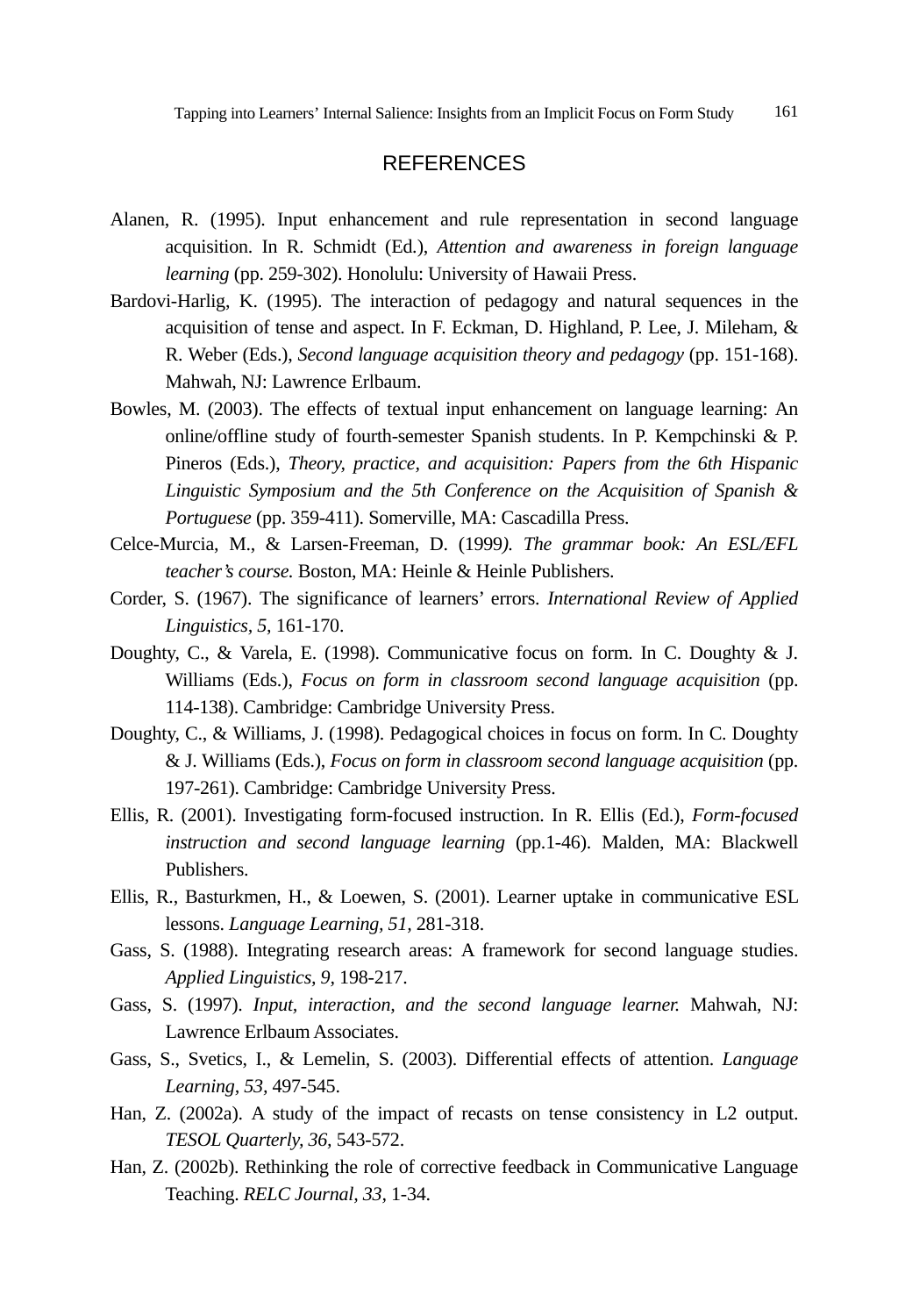## **REFERENCES**

- Alanen, R. (1995). Input enhancement and rule representation in second language acquisition. In R. Schmidt (Ed*.*), *Attention and awareness in foreign language learning* (pp. 259-302). Honolulu: University of Hawaii Press.
- Bardovi-Harlig, K. (1995). The interaction of pedagogy and natural sequences in the acquisition of tense and aspect. In F. Eckman, D. Highland, P. Lee, J. Mileham, & R. Weber (Eds.), *Second language acquisition theory and pedagogy* (pp. 151-168). Mahwah, NJ: Lawrence Erlbaum.
- Bowles, M. (2003). The effects of textual input enhancement on language learning: An online/offline study of fourth-semester Spanish students. In P. Kempchinski & P. Pineros (Eds.), *Theory, practice, and acquisition: Papers from the 6th Hispanic Linguistic Symposium and the 5th Conference on the Acquisition of Spanish & Portuguese* (pp. 359-411). Somerville, MA: Cascadilla Press.
- Celce-Murcia, M., & Larsen-Freeman, D. (1999*). The grammar book: An ESL/EFL teacher's course.* Boston, MA: Heinle & Heinle Publishers.
- Corder, S. (1967). The significance of learners' errors. *International Review of Applied Linguistics, 5,* 161-170.
- Doughty, C., & Varela, E. (1998). Communicative focus on form. In C. Doughty & J. Williams (Eds.), *Focus on form in classroom second language acquisition* (pp. 114-138). Cambridge: Cambridge University Press.
- Doughty, C., & Williams, J. (1998). Pedagogical choices in focus on form. In C. Doughty & J. Williams (Eds.), *Focus on form in classroom second language acquisition* (pp. 197-261). Cambridge: Cambridge University Press.
- Ellis, R. (2001). Investigating form-focused instruction. In R. Ellis (Ed.), *Form-focused instruction and second language learning* (pp.1-46). Malden, MA: Blackwell Publishers.
- Ellis, R., Basturkmen, H., & Loewen, S. (2001). Learner uptake in communicative ESL lessons. *Language Learning, 51,* 281-318.
- Gass, S. (1988). Integrating research areas: A framework for second language studies. *Applied Linguistics, 9,* 198-217.
- Gass, S. (1997). *Input, interaction, and the second language learner.* Mahwah, NJ: Lawrence Erlbaum Associates.
- Gass, S., Svetics, I., & Lemelin, S. (2003). Differential effects of attention. *Language Learning, 53,* 497-545.
- Han, Z. (2002a). A study of the impact of recasts on tense consistency in L2 output. *TESOL Quarterly, 36,* 543-572.
- Han, Z. (2002b). Rethinking the role of corrective feedback in Communicative Language Teaching. *RELC Journal, 33,* 1-34.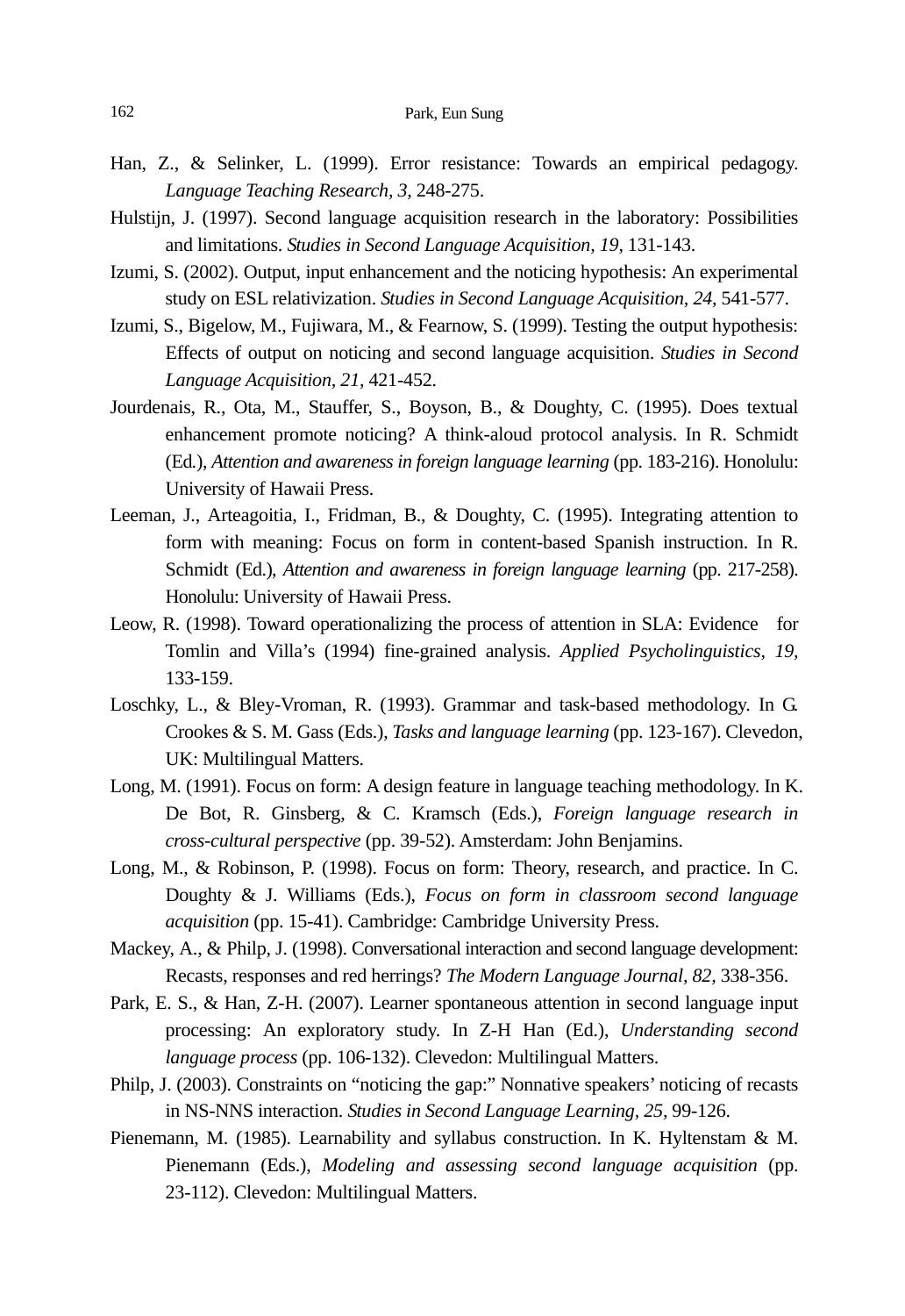- Han, Z., & Selinker, L. (1999). Error resistance: Towards an empirical pedagogy. *Language Teaching Research, 3,* 248-275.
- Hulstijn, J. (1997). Second language acquisition research in the laboratory: Possibilities and limitations. *Studies in Second Language Acquisition, 19,* 131-143.
- Izumi, S. (2002). Output, input enhancement and the noticing hypothesis: An experimental study on ESL relativization. *Studies in Second Language Acquisition, 24,* 541-577.
- Izumi, S., Bigelow, M., Fujiwara, M., & Fearnow, S. (1999). Testing the output hypothesis: Effects of output on noticing and second language acquisition. *Studies in Second Language Acquisition, 21,* 421-452.
- Jourdenais, R., Ota, M., Stauffer, S., Boyson, B., & Doughty, C. (1995). Does textual enhancement promote noticing? A think-aloud protocol analysis. In R. Schmidt (Ed*.*), *Attention and awareness in foreign language learning* (pp. 183-216). Honolulu: University of Hawaii Press.
- Leeman, J., Arteagoitia, I., Fridman, B., & Doughty, C. (1995). Integrating attention to form with meaning: Focus on form in content-based Spanish instruction. In R. Schmidt (Ed.), *Attention and awareness in foreign language learning* (pp. 217-258). Honolulu: University of Hawaii Press.
- Leow, R. (1998). Toward operationalizing the process of attention in SLA: Evidence for Tomlin and Villa's (1994) fine-grained analysis. *Applied Psycholinguistics, 19,*  133-159.
- Loschky, L., & Bley-Vroman, R. (1993). Grammar and task-based methodology. In G. Crookes & S. M. Gass (Eds.), *Tasks and language learning* (pp. 123-167). Clevedon, UK: Multilingual Matters.
- Long, M. (1991). Focus on form: A design feature in language teaching methodology. In K. De Bot, R. Ginsberg, & C. Kramsch (Eds.), *Foreign language research in cross-cultural perspective* (pp. 39-52). Amsterdam: John Benjamins.
- Long, M., & Robinson, P. (1998). Focus on form: Theory, research, and practice. In C. Doughty & J. Williams (Eds.), *Focus on form in classroom second language acquisition* (pp. 15-41). Cambridge: Cambridge University Press.
- Mackey, A., & Philp, J. (1998). Conversational interaction and second language development: Recasts, responses and red herrings? *The Modern Language Journal, 82,* 338-356.
- Park, E. S., & Han, Z-H. (2007). Learner spontaneous attention in second language input processing: An exploratory study. In Z-H Han (Ed.), *Understanding second language process* (pp. 106-132). Clevedon: Multilingual Matters.
- Philp, J. (2003). Constraints on "noticing the gap:" Nonnative speakers' noticing of recasts in NS-NNS interaction. *Studies in Second Language Learning, 25,* 99-126.
- Pienemann, M. (1985). Learnability and syllabus construction. In K. Hyltenstam & M. Pienemann (Eds.), *Modeling and assessing second language acquisition* (pp. 23-112). Clevedon: Multilingual Matters.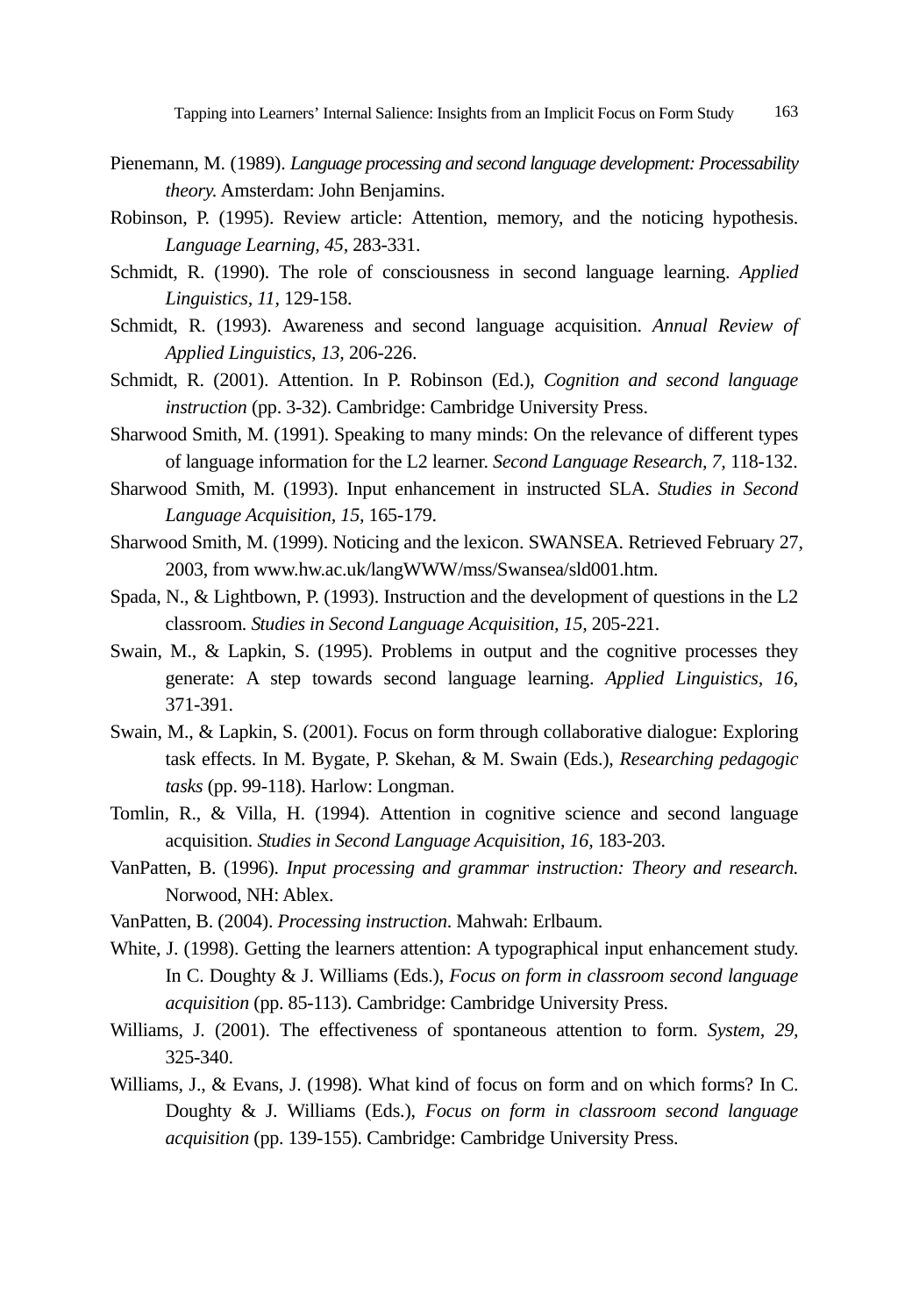- Pienemann, M. (1989). *Language processing and second language development: Processability theory.* Amsterdam: John Benjamins.
- Robinson, P. (1995). Review article: Attention, memory, and the noticing hypothesis. *Language Learning, 45,* 283-331.
- Schmidt, R. (1990). The role of consciousness in second language learning. *Applied Linguistics, 11,* 129-158.
- Schmidt, R. (1993). Awareness and second language acquisition. *Annual Review of Applied Linguistics, 13,* 206-226.
- Schmidt, R. (2001). Attention. In P. Robinson (Ed.), *Cognition and second language instruction* (pp. 3-32). Cambridge: Cambridge University Press.
- Sharwood Smith, M. (1991). Speaking to many minds: On the relevance of different types of language information for the L2 learner. *Second Language Research, 7,* 118-132.
- Sharwood Smith, M. (1993). Input enhancement in instructed SLA. *Studies in Second Language Acquisition, 15,* 165-179.
- Sharwood Smith, M. (1999). Noticing and the lexicon. SWANSEA. Retrieved February 27, 2003, from www.hw.ac.uk/langWWW/mss/Swansea/sld001.htm.
- Spada, N., & Lightbown, P. (1993). Instruction and the development of questions in the L2 classroom. *Studies in Second Language Acquisition, 15,* 205-221.
- Swain, M., & Lapkin, S. (1995). Problems in output and the cognitive processes they generate: A step towards second language learning. *Applied Linguistics, 16,* 371-391.
- Swain, M., & Lapkin, S. (2001). Focus on form through collaborative dialogue: Exploring task effects. In M. Bygate, P. Skehan, & M. Swain (Eds.), *Researching pedagogic tasks* (pp. 99-118). Harlow: Longman.
- Tomlin, R., & Villa, H. (1994). Attention in cognitive science and second language acquisition. *Studies in Second Language Acquisition, 16,* 183-203.
- VanPatten, B. (1996). *Input processing and grammar instruction: Theory and research.*  Norwood, NH: Ablex.
- VanPatten, B. (2004). *Processing instruction*. Mahwah: Erlbaum.
- White, J. (1998). Getting the learners attention: A typographical input enhancement study. In C. Doughty & J. Williams (Eds.), *Focus on form in classroom second language acquisition* (pp. 85-113). Cambridge: Cambridge University Press.
- Williams, J. (2001). The effectiveness of spontaneous attention to form. *System, 29,*  325-340.
- Williams, J., & Evans, J. (1998). What kind of focus on form and on which forms? In C. Doughty & J. Williams (Eds.), *Focus on form in classroom second language acquisition* (pp. 139-155). Cambridge: Cambridge University Press.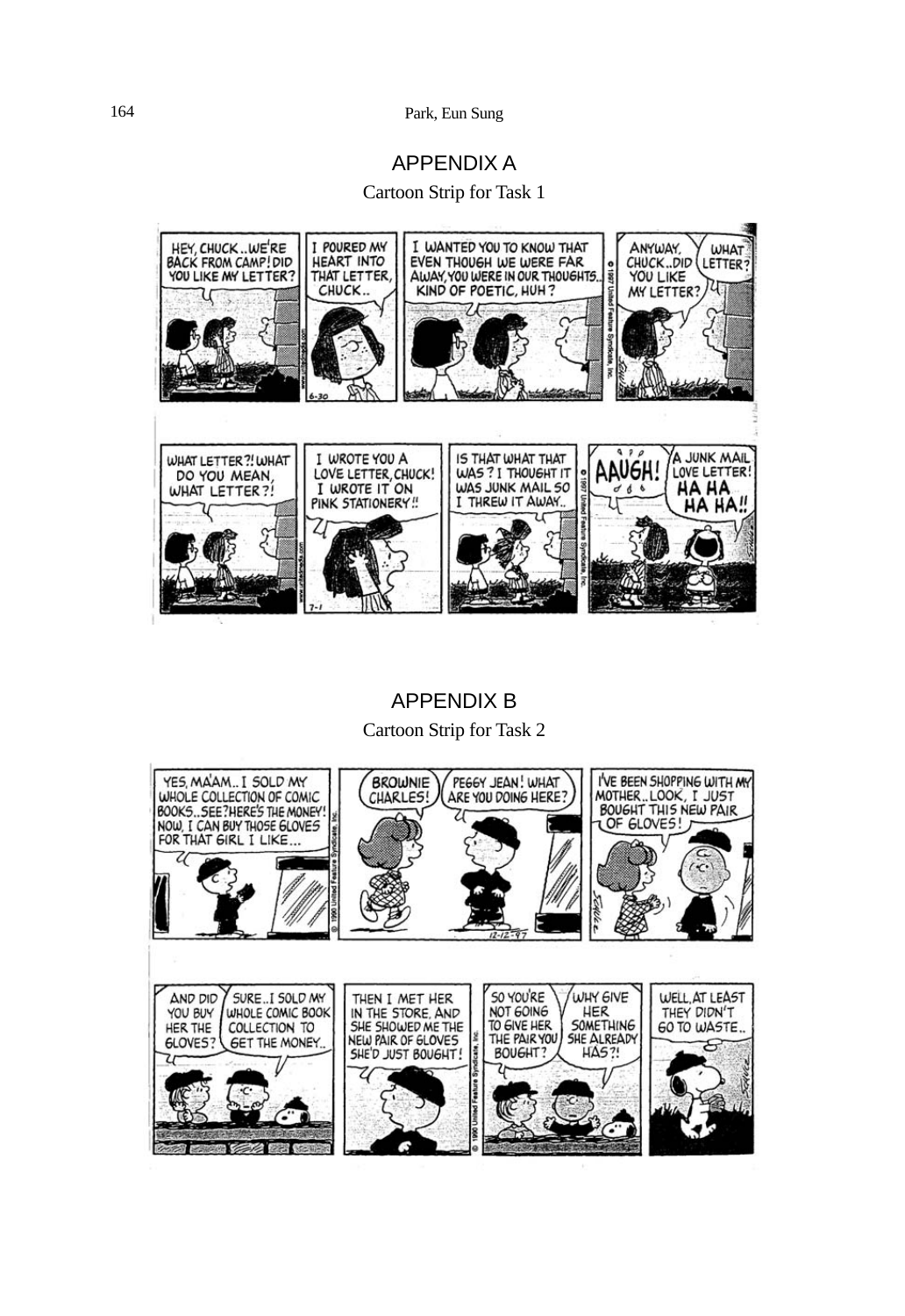### 164 Park, Eun Sung

## APPENDIX A

Cartoon Strip for Task 1



# APPENDIX B Cartoon Strip for Task 2

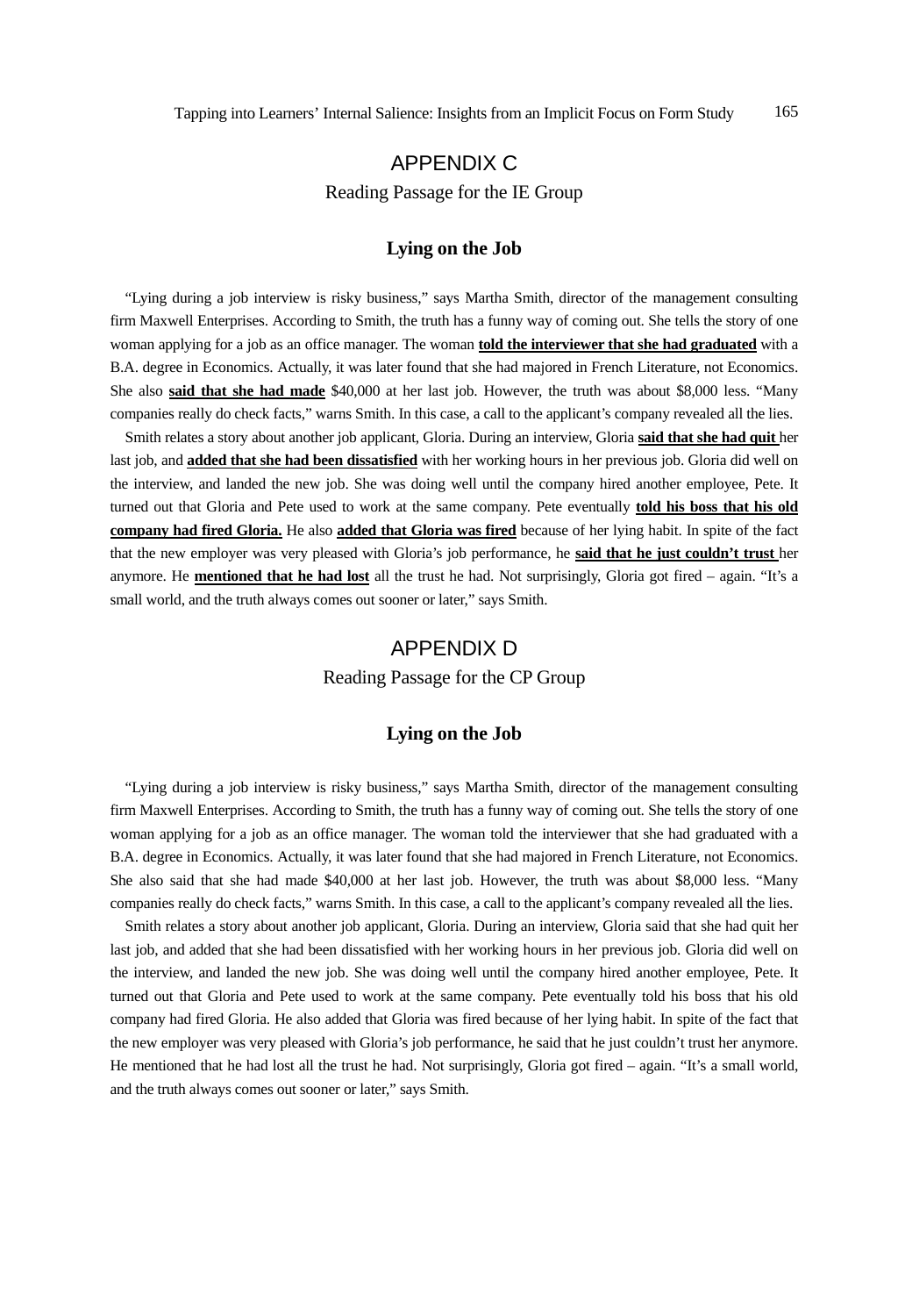# APPENDIX C Reading Passage for the IE Group

### **Lying on the Job**

"Lying during a job interview is risky business," says Martha Smith, director of the management consulting firm Maxwell Enterprises. According to Smith, the truth has a funny way of coming out. She tells the story of one woman applying for a job as an office manager. The woman **told the interviewer that she had graduated** with a B.A. degree in Economics. Actually, it was later found that she had majored in French Literature, not Economics. She also **said that she had made** \$40,000 at her last job. However, the truth was about \$8,000 less. "Many companies really do check facts," warns Smith. In this case, a call to the applicant's company revealed all the lies.

Smith relates a story about another job applicant, Gloria. During an interview, Gloria **said that she had quit** her last job, and **added that she had been dissatisfied** with her working hours in her previous job. Gloria did well on the interview, and landed the new job. She was doing well until the company hired another employee, Pete. It turned out that Gloria and Pete used to work at the same company. Pete eventually **told his boss that his old company had fired Gloria.** He also **added that Gloria was fired** because of her lying habit. In spite of the fact that the new employer was very pleased with Gloria's job performance, he **said that he just couldn't trust** her anymore. He **mentioned that he had lost** all the trust he had. Not surprisingly, Gloria got fired – again. "It's a small world, and the truth always comes out sooner or later," says Smith.

## APPENDIX D

Reading Passage for the CP Group

#### **Lying on the Job**

"Lying during a job interview is risky business," says Martha Smith, director of the management consulting firm Maxwell Enterprises. According to Smith, the truth has a funny way of coming out. She tells the story of one woman applying for a job as an office manager. The woman told the interviewer that she had graduated with a B.A. degree in Economics. Actually, it was later found that she had majored in French Literature, not Economics. She also said that she had made \$40,000 at her last job. However, the truth was about \$8,000 less. "Many companies really do check facts," warns Smith. In this case, a call to the applicant's company revealed all the lies.

Smith relates a story about another job applicant, Gloria. During an interview, Gloria said that she had quit her last job, and added that she had been dissatisfied with her working hours in her previous job. Gloria did well on the interview, and landed the new job. She was doing well until the company hired another employee, Pete. It turned out that Gloria and Pete used to work at the same company. Pete eventually told his boss that his old company had fired Gloria. He also added that Gloria was fired because of her lying habit. In spite of the fact that the new employer was very pleased with Gloria's job performance, he said that he just couldn't trust her anymore. He mentioned that he had lost all the trust he had. Not surprisingly, Gloria got fired – again. "It's a small world, and the truth always comes out sooner or later," says Smith.